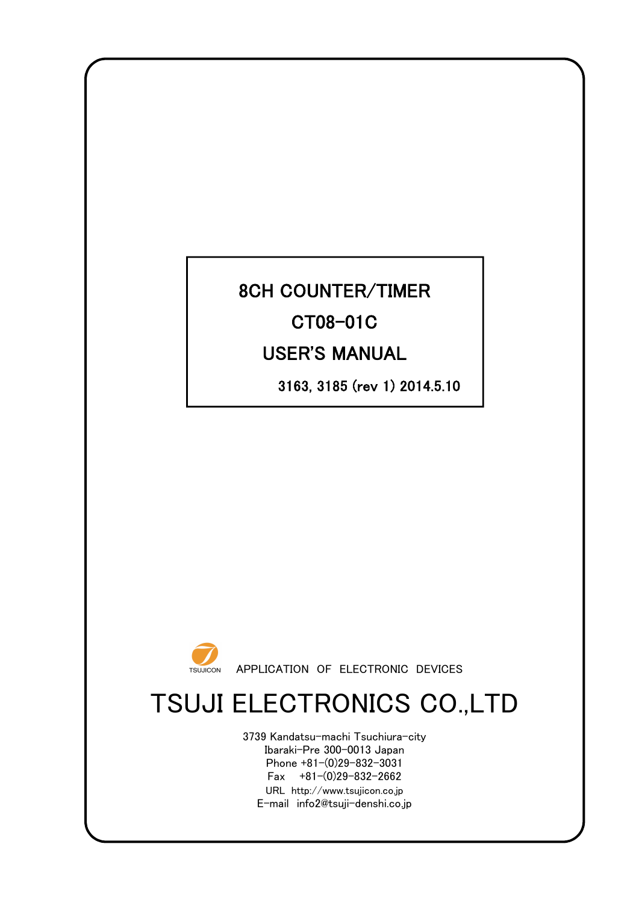# 8CH COUNTER/TIMER

CT08-01C

# USER'S MANUAL

3163, 3185 (rev 1) 2014.5.10



APPLICATION OF ELECTRONIC DEVICES

# TSUJI ELECTRONICS CO.,LTD

3739 Kandatsu-machi Tsuchiura-city Ibaraki-Pre 300-0013 Japan Phone +81-(0)29-832-3031 Fax  $+81-(0)29-832-2662$ URL http://www.tsujicon.co.jp E-mail info2@tsuji-denshi.co.jp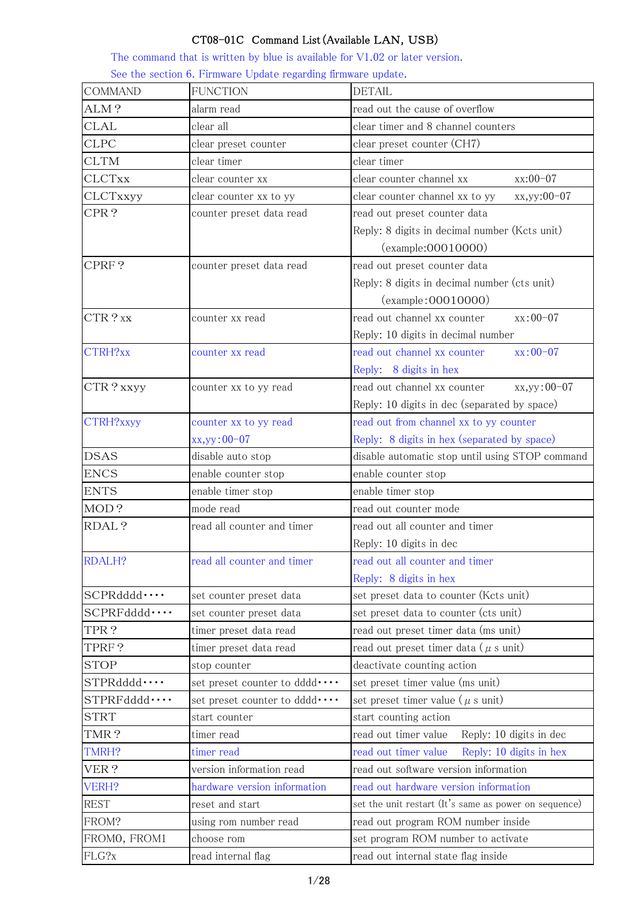#### CT08-01C Command List (Available LAN, USB)

The command that is written by blue is available for V1.02 or later version.

See the section 6. Firmware Update regarding firmware update.

| <b>COMMAND</b>                                                        | <b>FUNCTION</b>              | <b>DETAIL</b>                                         |  |
|-----------------------------------------------------------------------|------------------------------|-------------------------------------------------------|--|
| ALM?                                                                  | alarm read                   | read out the cause of overflow                        |  |
| <b>CLAL</b>                                                           | clear all                    | clear timer and 8 channel counters                    |  |
| <b>CLPC</b>                                                           | clear preset counter         | clear preset counter (CH7)                            |  |
| <b>CLTM</b>                                                           | clear timer                  | clear timer                                           |  |
| CLCTxx                                                                | clear counter xx             | clear counter channel xx<br>xx:00-07                  |  |
| CLCTxxyy                                                              | clear counter xx to yy       | clear counter channel xx to yy<br>xx,yy:00-07         |  |
| CPR?                                                                  | counter preset data read     | read out preset counter data                          |  |
|                                                                       |                              | Reply: 8 digits in decimal number (Kcts unit)         |  |
|                                                                       |                              | (example:00010000)                                    |  |
| CPRF?                                                                 | counter preset data read     | read out preset counter data                          |  |
|                                                                       |                              | Reply: 8 digits in decimal number (cts unit)          |  |
|                                                                       |                              | (example:00010000)                                    |  |
| CTR?xx                                                                | counter xx read              | read out channel xx counter<br>xx:00-07               |  |
|                                                                       |                              | Reply: 10 digits in decimal number                    |  |
| CTRH?xx                                                               | counter xx read              | read out channel xx counter<br>$xx:00-07$             |  |
|                                                                       |                              | Reply: 8 digits in hex                                |  |
| CTR?xxyy                                                              | counter xx to yy read        | read out channel xx counter<br>xx,yy: 00-07           |  |
|                                                                       |                              | Reply: 10 digits in dec (separated by space)          |  |
| CTRH?xxyy                                                             | counter xx to yy read        | read out from channel xx to yy counter                |  |
|                                                                       | xx,yy: 00-07                 | Reply: 8 digits in hex (separated by space)           |  |
| <b>DSAS</b>                                                           | disable auto stop            | disable automatic stop until using STOP command       |  |
| <b>ENCS</b>                                                           | enable counter stop          | enable counter stop                                   |  |
| <b>ENTS</b>                                                           | enable timer stop            | enable timer stop                                     |  |
| MOD?                                                                  | mode read                    | read out counter mode                                 |  |
| RDAL?<br>read all counter and timer<br>read out all counter and timer |                              |                                                       |  |
|                                                                       |                              | Reply: 10 digits in dec                               |  |
| RDALH?                                                                | read all counter and timer   | read out all counter and timer                        |  |
|                                                                       |                              | Reply: 8 digits in hex                                |  |
| SCPRddd                                                               | set counter preset data      | set preset data to counter (Kcts unit)                |  |
| $SCPRFdddd \cdots$                                                    | set counter preset data      | set preset data to counter (cts unit)                 |  |
| TPR?                                                                  | timer preset data read       | read out preset timer data (ms unit)                  |  |
| TPRF?                                                                 | timer preset data read       | read out preset timer data ( $\mu$ s unit)            |  |
| <b>STOP</b>                                                           | stop counter                 | deactivate counting action                            |  |
| STPRddd                                                               | set preset counter to dddd   | set preset timer value (ms unit)                      |  |
| $STPRFdddd \cdots$                                                    | set preset counter to dddd   | set preset timer value ( $\mu$ s unit)                |  |
| <b>STRT</b>                                                           | start counter                | start counting action                                 |  |
| TMR?                                                                  | timer read                   | read out timer value<br>Reply: 10 digits in dec       |  |
| TMRH?                                                                 | timer read                   | read out timer value<br>Reply: 10 digits in hex       |  |
| VER?                                                                  | version information read     | read out software version information                 |  |
| VERH?                                                                 | hardware version information | read out hardware version information                 |  |
| <b>REST</b>                                                           | reset and start              | set the unit restart (It's same as power on sequence) |  |
| FROM?                                                                 | using rom number read        | read out program ROM number inside                    |  |
| FROMO, FROM1                                                          | choose rom                   | set program ROM number to activate                    |  |
| FLG?x                                                                 | read internal flag           | read out internal state flag inside                   |  |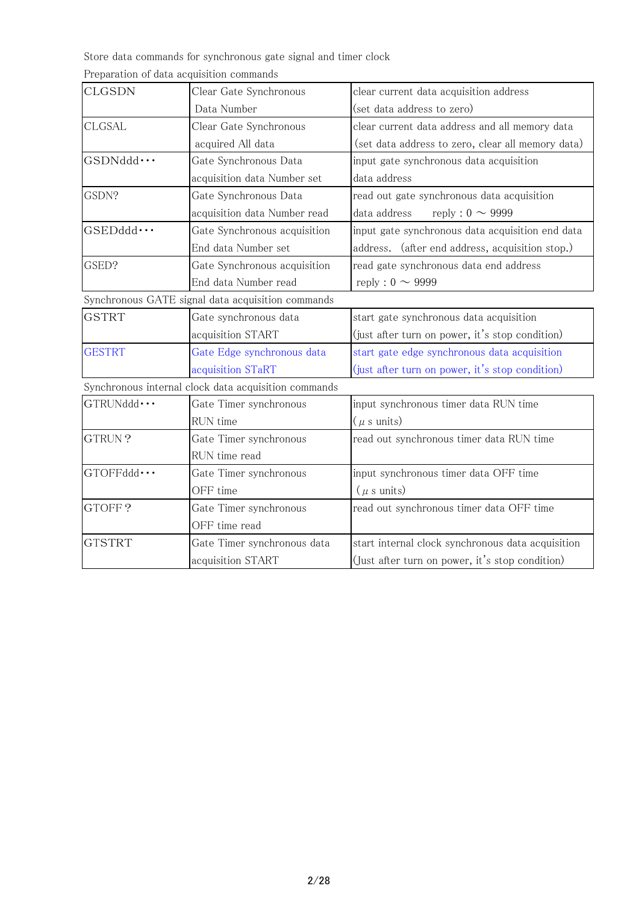Store data commands for synchronous gate signal and timer clock

| CLGSDN            | Clear Gate Synchronous                               | clear current data acquisition address            |
|-------------------|------------------------------------------------------|---------------------------------------------------|
|                   | Data Number                                          | (set data address to zero)                        |
| CLGSAL            | Clear Gate Synchronous                               | clear current data address and all memory data    |
|                   | acquired All data                                    | (set data address to zero, clear all memory data) |
| $GSDNddd \cdots$  | Gate Synchronous Data                                | input gate synchronous data acquisition           |
|                   | acquisition data Number set                          | data address                                      |
| GSDN?             | Gate Synchronous Data                                | read out gate synchronous data acquisition        |
|                   | acquisition data Number read                         | reply : $0 \sim 9999$<br>data address             |
| $GSEDddd \cdots$  | Gate Synchronous acquisition                         | input gate synchronous data acquisition end data  |
|                   | End data Number set                                  | address. (after end address, acquisition stop.)   |
| GSED?             | Gate Synchronous acquisition                         | read gate synchronous data end address            |
|                   | End data Number read                                 | reply : $0 \sim 9999$                             |
|                   | Synchronous GATE signal data acquisition commands    |                                                   |
| GSTRT             | Gate synchronous data                                | start gate synchronous data acquisition           |
|                   | acquisition START                                    | (just after turn on power, it's stop condition)   |
| <b>GESTRT</b>     | Gate Edge synchronous data                           | start gate edge synchronous data acquisition      |
|                   | acquisition STaRT                                    | (just after turn on power, it's stop condition)   |
|                   | Synchronous internal clock data acquisition commands |                                                   |
| $GTRUNddd \cdots$ | Gate Timer synchronous                               | input synchronous timer data RUN time             |
|                   | RUN time                                             | ( $\mu$ s units)                                  |
| GTRUN?            | Gate Timer synchronous                               | read out synchronous timer data RUN time          |
|                   | RUN time read                                        |                                                   |
| $GTOFFddd\cdots$  | Gate Timer synchronous                               | input synchronous timer data OFF time             |
|                   | OFF time                                             | $(\mu s \text{ units})$                           |
| GTOFF?            | Gate Timer synchronous                               | read out synchronous timer data OFF time          |
|                   | OFF time read                                        |                                                   |
| <b>GTSTRT</b>     | Gate Timer synchronous data                          | start internal clock synchronous data acquisition |
|                   | acquisition START                                    | (Just after turn on power, it's stop condition)   |

Preparation of data acquisition commands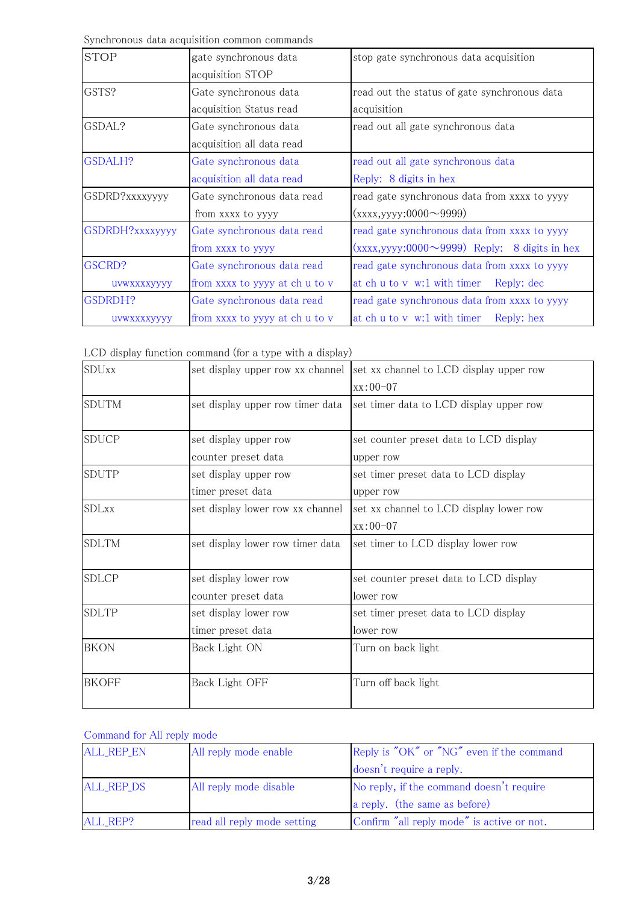Synchronous data acquisition common commands

| <b>STOP</b><br>gate synchronous data |                                                                            | stop gate synchronous data acquisition         |  |
|--------------------------------------|----------------------------------------------------------------------------|------------------------------------------------|--|
|                                      | acquisition STOP                                                           |                                                |  |
| GSTS?                                | Gate synchronous data                                                      | read out the status of gate synchronous data   |  |
|                                      | acquisition Status read                                                    | acquisition                                    |  |
| GSDAL?                               | Gate synchronous data                                                      | read out all gate synchronous data             |  |
|                                      | acquisition all data read                                                  |                                                |  |
| GSDALH?                              | Gate synchronous data                                                      | read out all gate synchronous data             |  |
|                                      | acquisition all data read                                                  | Reply: 8 digits in hex                         |  |
| GSDRD?xxxxyyyy                       | read gate synchronous data from xxxx to yyyy<br>Gate synchronous data read |                                                |  |
|                                      | from xxxx to yyyy                                                          | $(xxxx,yyyy:0000 \sim 9999)$                   |  |
| GSDRDH?xxxxyyyy                      | Gate synchronous data read                                                 | read gate synchronous data from xxxx to yyyy   |  |
|                                      | from xxxx to yyyy                                                          | $(xxxx,yyyy:0000~9999)$ Reply: 8 digits in hex |  |
| GSCRD?                               | Gate synchronous data read                                                 | read gate synchronous data from xxxx to yyyy   |  |
| uvwxxxxyyyy                          | from xxxx to yyyy at chu to v                                              | at chu to v w:1 with timer<br>Reply: dec       |  |
| GSDRDH?                              | Gate synchronous data read                                                 | read gate synchronous data from xxxx to yyyy   |  |
| uvwxxxxyyyy                          | from xxxx to yyyy at chu to v                                              | at chu to v w:1 with timer<br>Reply: hex       |  |

LCD display function command (for a type with a display)

| <b>SDUxx</b> | set display upper row xx channel             | set xx channel to LCD display upper row<br>$xx:00-07$ |  |
|--------------|----------------------------------------------|-------------------------------------------------------|--|
| <b>SDUTM</b> | set display upper row timer data             | set timer data to LCD display upper row               |  |
| <b>SDUCP</b> | set display upper row<br>counter preset data | set counter preset data to LCD display<br>upper row   |  |
| <b>SDUTP</b> | set display upper row<br>timer preset data   | set timer preset data to LCD display<br>upper row     |  |
| <b>SDLxx</b> | set display lower row xx channel             | set xx channel to LCD display lower row<br>xx:00-07   |  |
| <b>SDLTM</b> | set display lower row timer data             | set timer to LCD display lower row                    |  |
| <b>SDLCP</b> | set display lower row<br>counter preset data | set counter preset data to LCD display<br>lower row   |  |
| <b>SDLTP</b> | set display lower row<br>timer preset data   | set timer preset data to LCD display<br>lower row     |  |
| <b>BKON</b>  | Back Light ON                                | Turn on back light                                    |  |
| <b>BKOFF</b> | Back Light OFF                               | Turn off back light                                   |  |

### Command for All reply mode

| ALL_REP_EN | All reply mode enable       | Reply is "OK" or "NG" even if the command  |
|------------|-----------------------------|--------------------------------------------|
|            |                             | doesn't require a reply.                   |
| ALL_REP_DS | All reply mode disable      | No reply, if the command doesn't require   |
|            |                             | a reply. (the same as before)              |
| ALL_REP?   | read all reply mode setting | Confirm "all reply mode" is active or not. |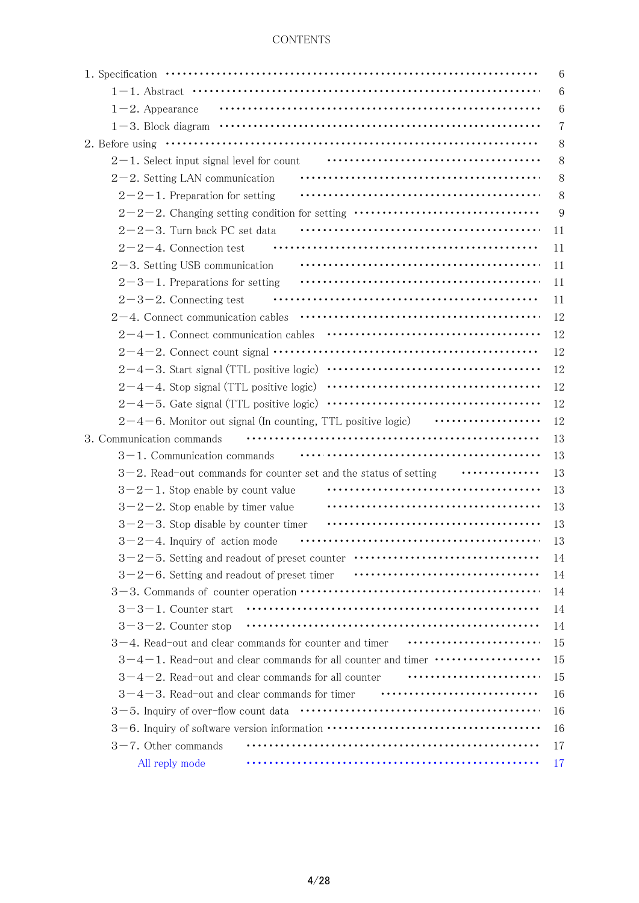#### **CONTENTS**

|                                                                                 | 6              |
|---------------------------------------------------------------------------------|----------------|
|                                                                                 | 6              |
| $1-2$ . Appearance                                                              | 6              |
|                                                                                 | $\overline{7}$ |
|                                                                                 | 8              |
| $2-1$ . Select input signal level for count                                     | 8              |
| $2-2$ . Setting LAN communication                                               | 8              |
| $2-2-1$ . Preparation for setting                                               | 8              |
|                                                                                 | 9              |
| $2-2-3$ . Turn back PC set data                                                 | 11             |
| $2-2-4$ . Connection test                                                       | 11             |
| $2-3$ . Setting USB communication                                               | 11             |
| $2-3-1$ . Preparations for setting                                              | 11             |
| $2-3-2$ . Connecting test                                                       | 11             |
| $2-4$ . Connect communication cables                                            | 12             |
|                                                                                 | 12             |
|                                                                                 | 12             |
|                                                                                 | 12             |
| $2-4-4$ . Stop signal (TTL positive logic)                                      | 12             |
| $2-4-5$ . Gate signal (TTL positive logic)                                      | 12             |
| .<br>$2-4-6$ . Monitor out signal (In counting, TTL positive logic)             | 12             |
| 3. Communication commands                                                       | 13             |
| $3-1$ . Communication commands                                                  | 13             |
| .<br>$3-2$ . Read-out commands for counter set and the status of setting        | 13             |
| $3-2-1$ . Stop enable by count value                                            | 13             |
| $3-2-2$ . Stop enable by timer value                                            | 13             |
| $3-2-3$ . Stop disable by counter timer                                         | 13             |
| $3-2-4$ . Inquiry of action mode                                                | 13             |
|                                                                                 | 14             |
|                                                                                 | 14             |
|                                                                                 | 14             |
| $3-3-1$ . Counter start                                                         | 14             |
| $3-3-2$ . Counter stop                                                          | 14             |
| $3-4$ . Read-out and clear commands for counter and timer                       | 15             |
| 3-4-1. Read-out and clear commands for all counter and timer ·················· | 15             |
| $3-4-2$ . Read-out and clear commands for all counter                           | 15             |
|                                                                                 | 16             |
|                                                                                 | 16             |
|                                                                                 | 16             |
| $3-7$ . Other commands                                                          | 17             |
| All reply mode                                                                  | 17             |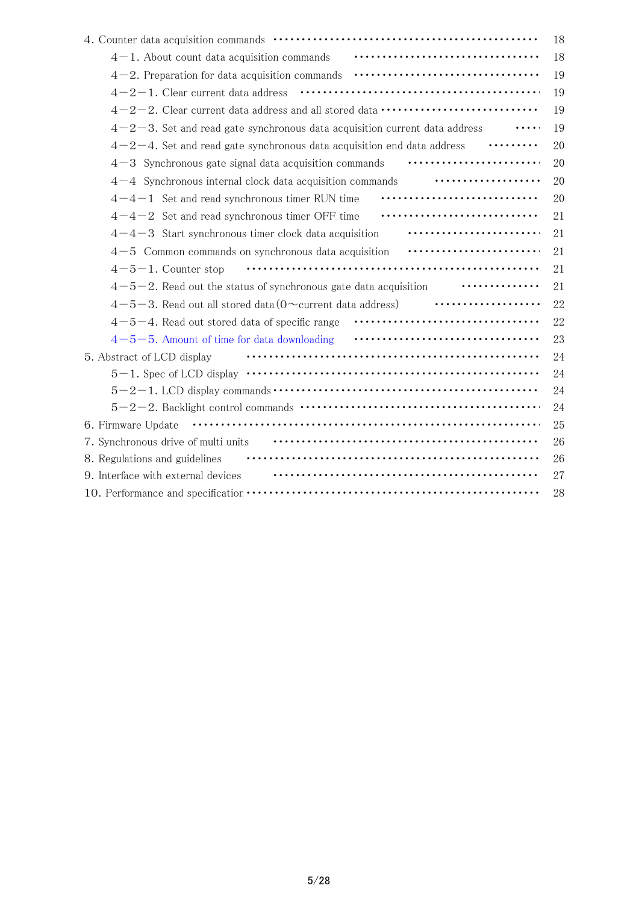|                                                                                                                                | -18 |
|--------------------------------------------------------------------------------------------------------------------------------|-----|
| $4-1$ . About count data acquisition commands                                                                                  | -18 |
| 4-2. Preparation for data acquisition commands                                                                                 | -19 |
|                                                                                                                                | -19 |
| 4-2-2. Clear current data address and all stored data ···························                                              | -19 |
| $4-2-3$ . Set and read gate synchronous data acquisition current data address                                                  | -19 |
| $4-2-4$ . Set and read gate synchronous data acquisition end data address                                                      | 20  |
| $4-3$ Synchronous gate signal data acquisition commands                                                                        | -20 |
| $4-4$ Synchronous internal clock data acquisition commands                                                                     | -20 |
| $4-4-1$ Set and read synchronous timer RUN time                                                                                | 20  |
| $4-4-2$ Set and read synchronous timer OFF time                                                                                | 21  |
| $4-4-3$ Start synchronous timer clock data acquisition                                                                         | 21  |
| $4-5$ Common commands on synchronous data acquisition                                                                          | 21  |
| $4-5-1$ . Counter stop                                                                                                         | 21  |
| $4-5-2$ . Read out the status of synchronous gate data acquisition                                                             | 21  |
| $4-5-3$ . Read out all stored data (0 $\sim$ current data address)                                                             | 22  |
| 4-5-4. Read out stored data of specific range ··································                                               | 22  |
| <br>$4-5-5$ . Amount of time for data downloading                                                                              | 23  |
| 5. Abstract of LCD display                                                                                                     | 24  |
| $5-1$ . Spec of LCD display $\cdots$ $\cdots$ $\cdots$ $\cdots$ $\cdots$ $\cdots$ $\cdots$ $\cdots$ $\cdots$ $\cdots$ $\cdots$ | -24 |
|                                                                                                                                | 24  |
|                                                                                                                                | -24 |
|                                                                                                                                | 25  |
| 7. Synchronous drive of multi units                                                                                            | 26  |
| 8. Regulations and guidelines                                                                                                  | -26 |
| 9. Interface with external devices                                                                                             | 27  |
|                                                                                                                                | 28  |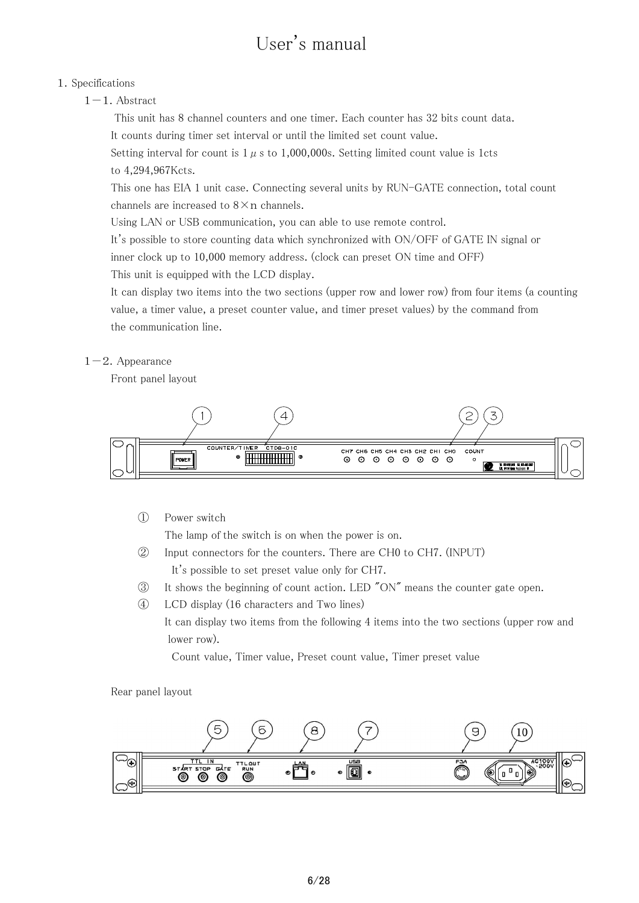## User 's manual

#### 1.Specifications

 $1-1$ . Abstract

This unit has 8 channel counters and one timer. Each counter has 32 bits count data. It counts during timer set interval or until the limited set count value.

Setting interval for count is  $1 \mu$  s to 1,000,000s. Setting limited count value is 1cts to 4,294,967Kcts.

This one has EIA 1 unit case. Connecting several units by RUN-GATE connection, total count channels are increased to  $8\times n$  channels.

Using LAN or USB communication, you can able to use remote control.

It's possible to store counting data which synchronized with ON/OFF of GATE IN signal or inner clock up to 10,000 memory address. (clock can preset ON time and OFF) This unit is equipped with the LCD display.

It can display two items into the two sections (upper row and lower row) from four items (a counting value, a timer value, a preset counter value, and timer preset values) by the command from the communication line.

#### $1-2$ . Appearance

Front panel layout



① Power switch

The lamp of the switch is on when the power is on.

- ② Input connectors for the counters. There are CH0 to CH7. (INPUT) It's possible to set preset value only for CH7.
- ③ It shows the beginning of count action. LED "ON" means the counter gate open.

④ LCD display (16 characters and Two lines) It can display two items from the following 4 items into the two sections (upper row and lower row).

Count value, Timer value, Preset count value, Timer preset value

Rear panel layout

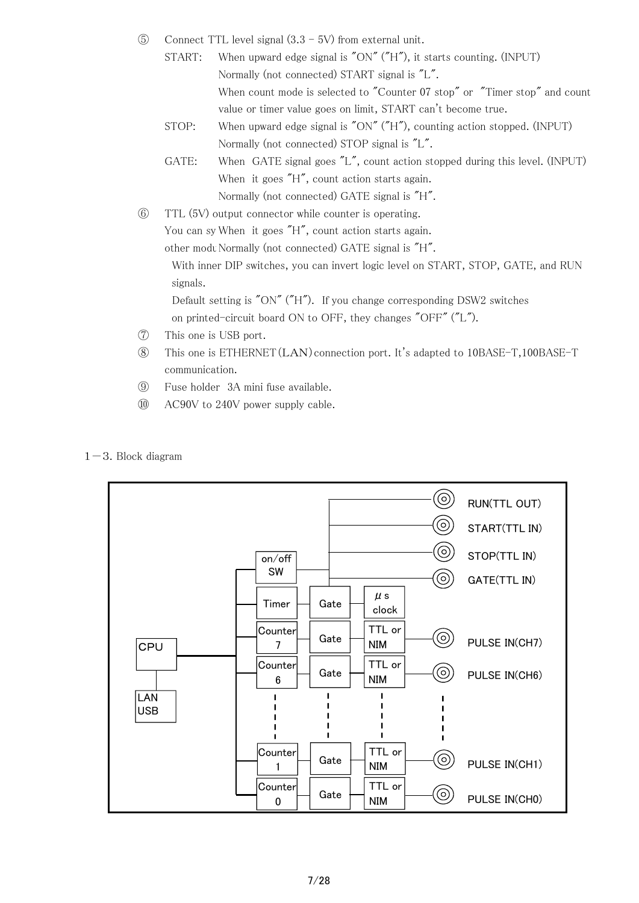⑤ Connect TTL level signal (3.3 - 5V) from external unit.

- START: When upward edge signal is "ON" ("H"), it starts counting. (INPUT) Normally (not connected) START signal is "L". When count mode is selected to "Counter 07 stop" or "Timer stop" and count value or timer value goes on limit, START can't become true.
- STOP: When upward edge signal is "ON" ("H"), counting action stopped. (INPUT) Normally (not connected) STOP signal is "L".
- GATE: When GATE signal goes "L", count action stopped during this level. (INPUT) When it goes "H", count action starts again. Normally (not connected) GATE signal is "H".
- ⑥ TTL (5V) output connector while counter is operating. You can sy When it goes "H", count action starts again. other moduNormally (not connected) GATE signal is "H". With inner DIP switches, you can invert logic level on START, STOP, GATE, and RUN signals. Default setting is "ON" ("H"). If you change corresponding DSW2 switches

on printed-circuit board ON to OFF, they changes "OFF" ("L").

- ⑦ This one is USB port.
- ⑧ This one is ETHERNET(LAN)connection port. It's adapted to 10BASE-T,100BASE-T communication.
- ⑨ Fuse holder 3A mini fuse available.
- ⑩ AC90V to 240V power supply cable.



#### $1-3$ . Block diagram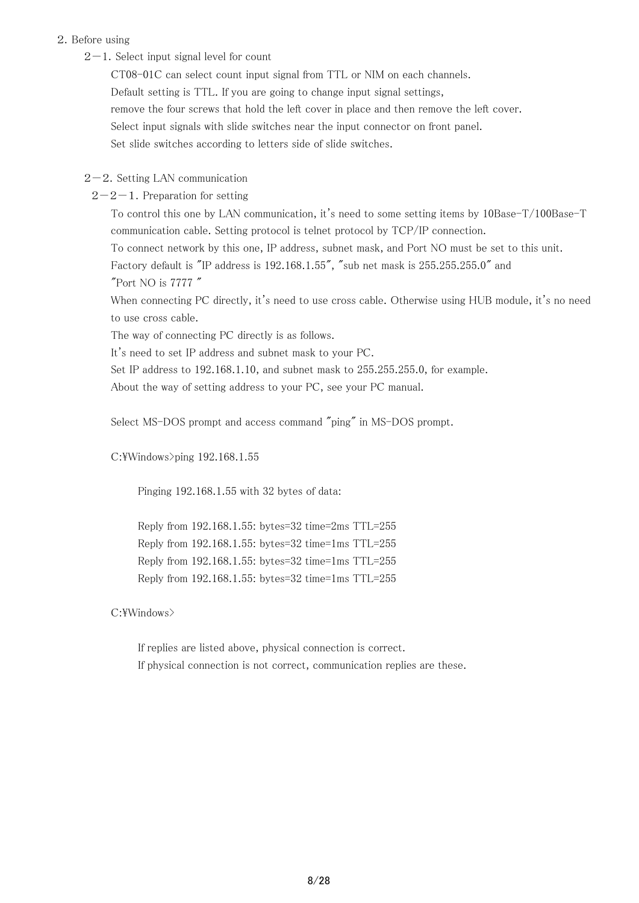#### 2.Before using

 $2-1$ . Select input signal level for count

CT08-01C can select count input signal from TTL or NIM on each channels.

Default setting is TTL. If you are going to change input signal settings,

remove the four screws that hold the left cover in place and then remove the left cover.

Select input signals with slide switches near the input connector on front panel.

Set slide switches according to letters side of slide switches.

 $2-2$ . Setting LAN communication

 $2-2-1$ . Preparation for setting

To control this one by LAN communication, it's need to some setting items by 10Base-T/100Base-T communication cable. Setting protocol is telnet protocol by TCP/IP connection.

To connect network by this one, IP address, subnet mask, and Port NO must be set to this unit.

Factory default is "IP address is 192.168.1.55", "sub net mask is 255.255.255.0" and "Port NO is 7777 "

When connecting PC directly, it's need to use cross cable. Otherwise using HUB module, it's no need to use cross cable.

The way of connecting PC directly is as follows.

It's need to set IP address and subnet mask to your PC.

Set IP address to 192.168.1.10, and subnet mask to 255.255.255.0, for example.

About the way of setting address to your PC, see your PC manual.

Select MS-DOS prompt and access command "ping" in MS-DOS prompt.

 $C:\nYWindows>ping 192.168.1.55$ 

Pinging 192.168.1.55 with 32 bytes of data:

Reply from 192.168.1.55: bytes=32 time=2ms TTL=255 Reply from 192.168.1.55: bytes=32 time=1ms TTL=255 Reply from 192.168.1.55: bytes=32 time=1ms TTL=255 Reply from 192.168.1.55: bytes=32 time=1ms TTL=255

C:\Windows>

If replies are listed above, physical connection is correct. If physical connection is not correct, communication replies are these.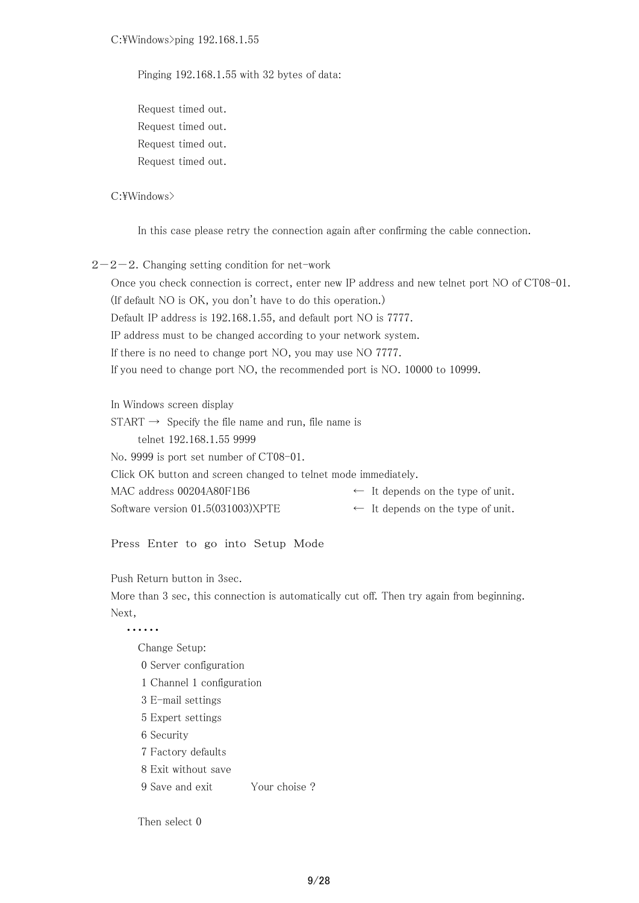#### $C:\nYW$ indows>ping 192.168.1.55

Pinging 192.168.1.55 with 32 bytes of data:

Request timed out. Request timed out. Request timed out. Request timed out.

 $C:\nexists W \in \mathcal{C}$ 

In this case please retry the connection again after confirming the cable connection.

 $2-2-2$ . Changing setting condition for net-work

Once you check connection is correct, enter new IP address and new telnet port NO of CT08-01. (If default NO is OK, you don't have to do this operation.) Default IP address is 192.168.1.55, and default port NO is 7777. IP address must to be changed according to your network system. If there is no need to change port NO, you may use NO 7777. If you need to change port NO, the recommended port is NO. 10000 to 10999.

In Windows screen display

 $START \rightarrow$  Specify the file name and run, file name is

telnet 192.168.1.55 9999

No. 9999 is port set number of CT08-01.

Click OK button and screen changed to telnet mode immediately.

MAC address  $00204A80F1B6$   $\leftarrow$  It depends on the type of unit.

Software version  $01.5(031003)$ XPTE  $\leftarrow$  It depends on the type of unit.

Press Enter to go into Setup Mode

Push Return button in 3sec.

More than 3 sec, this connection is automatically cut off. Then try again from beginning. Next,

・・・・・・

Change Setup: Server configuration Channel 1 configuration E-mail settings Expert settings 6 Security Factory defaults Exit without save 9 Save and exit Your choise ?

Then select 0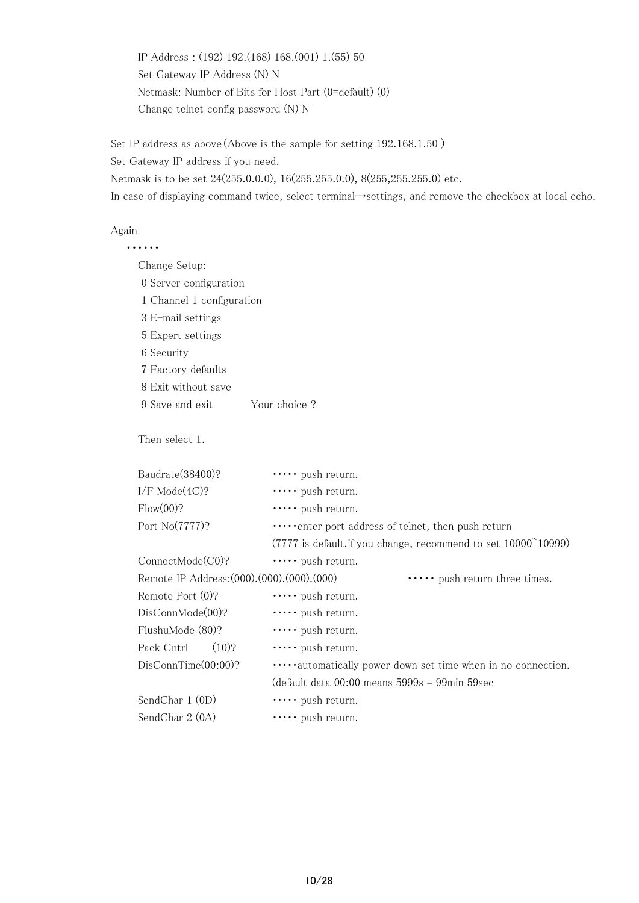IP Address : (192) 192.(168) 168.(001) 1.(55) 50 Set Gateway IP Address (N) N Netmask: Number of Bits for Host Part (0=default) (0) Change telnet config password (N) N

Set IP address as above(Above is the sample for setting 192.168.1.50 ) Set Gateway IP address if you need. Netmask is to be set 24(255.0.0.0), 16(255.255.0.0), 8(255,255.255.0) etc. In case of displaying command twice, select terminal→settings, and remove the checkbox at local echo.

#### Again

| .                                         |                                                                          |  |
|-------------------------------------------|--------------------------------------------------------------------------|--|
| Change Setup:                             |                                                                          |  |
| 0 Server configuration                    |                                                                          |  |
| 1 Channel 1 configuration                 |                                                                          |  |
| 3 E-mail settings                         |                                                                          |  |
| 5 Expert settings                         |                                                                          |  |
| 6 Security                                |                                                                          |  |
| 7 Factory defaults                        |                                                                          |  |
| 8 Exit without save                       |                                                                          |  |
| 9 Save and exit                           | Your choice?                                                             |  |
| Then select 1.                            |                                                                          |  |
|                                           |                                                                          |  |
| Baudrate(38400)?                          | push return.                                                             |  |
| $I/F$ Mode $(4C)$ ?                       | push return.                                                             |  |
| Flow(00)?                                 | push return.                                                             |  |
| Port No(7777)?                            | enter port address of telnet, then push return                           |  |
|                                           | $(7777$ is default, if you change, recommend to set $10000^{\circ}10999$ |  |
| $ConnectMode(C0)$ ?                       | push return.                                                             |  |
| Remote IP Address:(000).(000).(000).(000) | push return three times.                                                 |  |
| Remote Port (0)?                          | push return.                                                             |  |
| DisConnMode(00)?                          | push return.                                                             |  |
| FlushuMode (80)?                          | push return.                                                             |  |
| Pack Cntrl<br>$(10)$ ?                    | push return.                                                             |  |
| DisConnTime(00:00)?                       | automatically power down set time when in no connection.                 |  |
|                                           | (default data $00:00$ means $5999s = 99$ min $59sec$                     |  |
| SendChar 1 (0D)                           | push return.                                                             |  |
| SendChar 2 (0A)                           | push return.                                                             |  |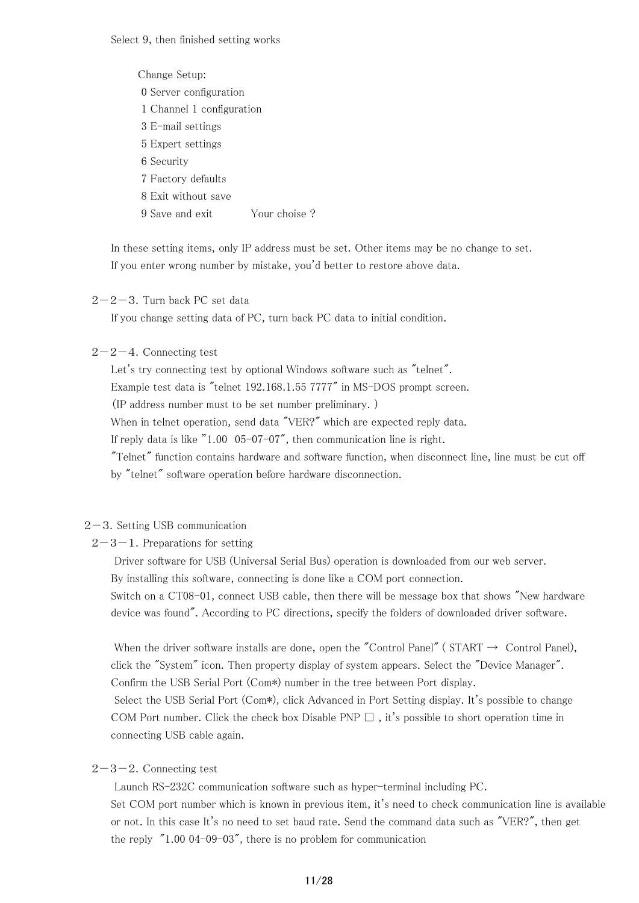Select 9, then finished setting works

Change Setup: Server configuration Channel 1 configuration E-mail settings Expert settings 6 Security Factory defaults Exit without save 9 Save and exit Your choise?

In these setting items, only IP address must be set. Other items may be no change to set. If you enter wrong number by mistake, you'd better to restore above data.

#### $2-2-3$ . Turn back PC set data

If you change setting data of PC, turn back PC data to initial condition.

#### $2-2-4$ . Connecting test

Let's try connecting test by optional Windows software such as "telnet".

Example test data is "telnet 192.168.1.55 7777" in MS-DOS prompt screen.

(IP address number must to be set number preliminary. )

When in telnet operation, send data "VER?" which are expected reply data.

If reply data is like "1.00 05-07-07", then communication line is right.

"Telnet" function contains hardware and software function, when disconnect line, line must be cut off by "telnet" software operation before hardware disconnection.

#### $2-3$ . Setting USB communication

 $2-3-1$ . Preparations for setting

Driver software for USB (Universal Serial Bus) operation is downloaded from our web server. By installing this software, connecting is done like a COM port connection.

Switch on a CT08-01, connect USB cable, then there will be message box that shows "New hardware device was found". According to PC directions, specify the folders of downloaded driver software.

When the driver software installs are done, open the "Control Panel" ( $START \rightarrow$  Control Panel), click the "System" icon. Then property display of system appears. Select the "Device Manager". Confirm the USB Serial Port (Com\*) number in the tree between Port display. Select the USB Serial Port (Com\*), click Advanced in Port Setting display. It's possible to change COM Port number. Click the check box Disable PNP  $\Box$ , it's possible to short operation time in connecting USB cable again.

#### $2-3-2$ . Connecting test

Launch RS-232C communication software such as hyper-terminal including PC.

Set COM port number which is known in previous item, it's need to check communication line is available or not. In this case It's no need to set baud rate. Send the command data such as "VER?", then get the reply "1.00 04-09-03", there is no problem for communication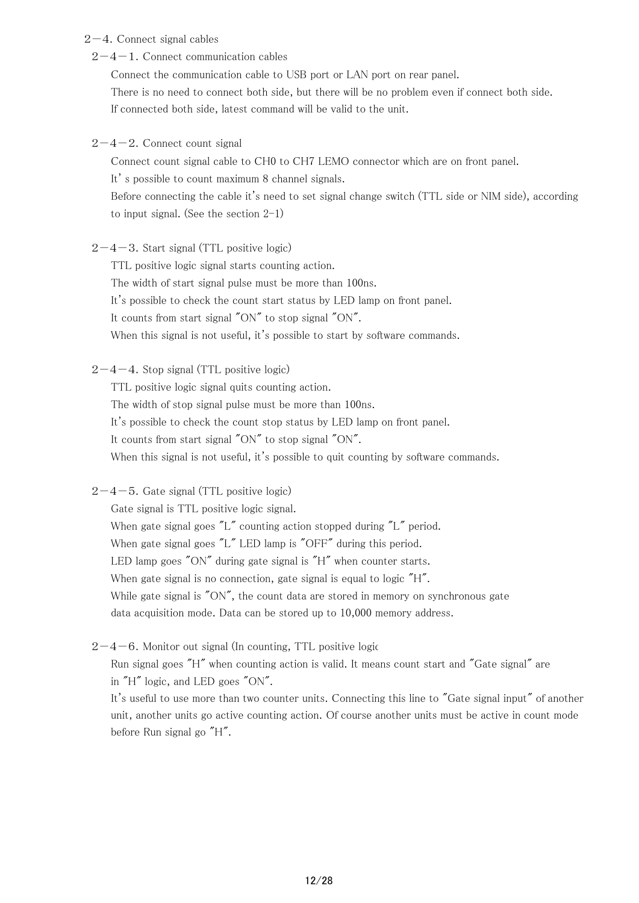#### $2-4$ . Connect signal cables

 $2-4-1$ . Connect communication cables

Connect the communication cable to USB port or LAN port on rear panel.

There is no need to connect both side, but there will be no problem even if connect both side. If connected both side, latest command will be valid to the unit.

 $2-4-2$ . Connect count signal

Connect count signal cable to CH0 to CH7 LEMO connector which are on front panel. It' s possible to count maximum 8 channel signals.

Before connecting the cable it's need to set signal change switch (TTL side or NIM side), according to input signal. (See the section 2-1)

 $2-4-3$ . Start signal (TTL positive logic)

TTL positive logic signal starts counting action.

The width of start signal pulse must be more than 100ns.

It's possible to check the count start status by LED lamp on front panel.

It counts from start signal "ON" to stop signal "ON".

When this signal is not useful, it's possible to start by software commands.

 $2-4-4$ . Stop signal (TTL positive logic)

TTL positive logic signal quits counting action.

The width of stop signal pulse must be more than 100ns.

It's possible to check the count stop status by LED lamp on front panel.

It counts from start signal "ON" to stop signal "ON".

When this signal is not useful, it's possible to quit counting by software commands.

 $2-4-5$ . Gate signal (TTL positive logic)

Gate signal is TTL positive logic signal.

When gate signal goes "L" counting action stopped during "L" period.

When gate signal goes "L" LED lamp is "OFF" during this period.

LED lamp goes "ON" during gate signal is "H" when counter starts.

When gate signal is no connection, gate signal is equal to logic "H".

While gate signal is "ON", the count data are stored in memory on synchronous gate

data acquisition mode. Data can be stored up to 10,000 memory address.

 $2-4-6$ . Monitor out signal (In counting, TTL positive logic

Run signal goes "H" when counting action is valid. It means count start and "Gate signal" are in "H" logic, and LED goes "ON".

It's useful to use more than two counter units. Connecting this line to "Gate signal input" of another unit, another units go active counting action. Of course another units must be active in count mode before Run signal go "H".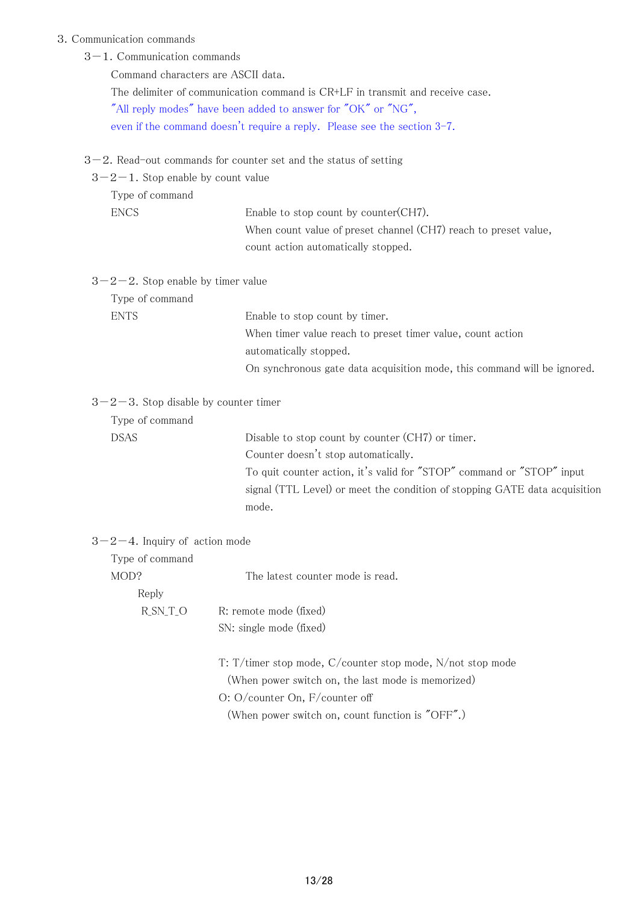#### 3.Communication commands

 $3-1$ . Communication commands

Command characters are ASCII data.

The delimiter of communication command is CR+LF in transmit and receive case.

"All reply modes" have been added to answer for "OK" or "NG",

even if the command doesn't require a reply. Please see the section 3-7.

 $3-2$ . Read-out commands for counter set and the status of setting

 $3-2-1$ . Stop enable by count value

| Type of command |                                                                 |
|-----------------|-----------------------------------------------------------------|
| <b>ENCS</b>     | Enable to stop count by counter $CH7$ ).                        |
|                 | When count value of preset channel (CH7) reach to preset value, |
|                 | count action automatically stopped.                             |
|                 |                                                                 |

Type of command  $3-2-2$ . Stop enable by timer value

ENTS Enable to stop count by timer. When timer value reach to preset timer value, count action automatically stopped. On synchronous gate data acquisition mode, this command will be ignored.

 $3-2-3$ . Stop disable by counter timer

| Type of command |                                                                            |
|-----------------|----------------------------------------------------------------------------|
| DSAS            | Disable to stop count by counter (CH7) or timer.                           |
|                 | Counter doesn't stop automatically.                                        |
|                 | To quit counter action, it's valid for "STOP" command or "STOP" input      |
|                 | signal (TTL Level) or meet the condition of stopping GATE data acquisition |
|                 | mode.                                                                      |

 $3-2-4$ . Inquiry of action mode

| Type of command |                                                               |
|-----------------|---------------------------------------------------------------|
| MOD?            | The latest counter mode is read.                              |
| Reply           |                                                               |
| R_SN_T_O        | R: remote mode (fixed)                                        |
|                 | SN: single mode (fixed)                                       |
|                 |                                                               |
|                 | T: T/timer stop mode, $C$ /counter stop mode, N/not stop mode |
|                 | (When power switch on, the last mode is memorized)            |
|                 | O: O/counter On, F/counter off                                |
|                 | (When power switch on, count function is "OFF".)              |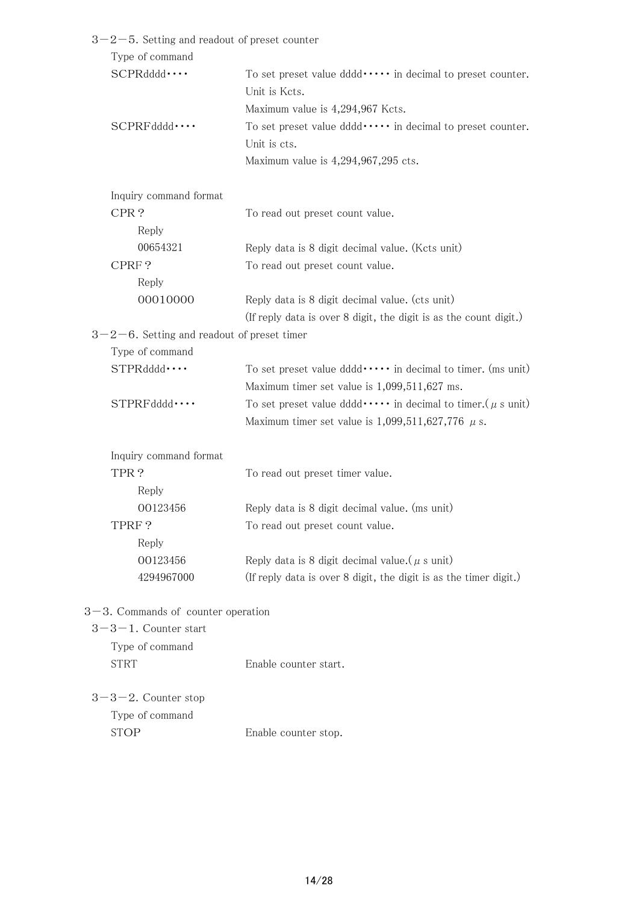| $3-2-5$ . Setting and readout of preset counter |                                                                        |
|-------------------------------------------------|------------------------------------------------------------------------|
| Type of command                                 |                                                                        |
| SCPRddd                                         | To set preset value $ddd$ $\cdots$ in decimal to preset counter.       |
|                                                 | Unit is Kets.                                                          |
|                                                 | Maximum value is 4,294,967 Kcts.                                       |
| $SCPRFdddd \cdots$                              | To set preset value $ddd$ $\cdots$ in decimal to preset counter.       |
|                                                 | Unit is cts.                                                           |
|                                                 | Maximum value is 4,294,967,295 cts.                                    |
| Inquiry command format                          |                                                                        |
| CPR?                                            | To read out preset count value.                                        |
| Reply                                           |                                                                        |
| 00654321                                        | Reply data is 8 digit decimal value. (Kets unit)                       |
| CPRF?                                           | To read out preset count value.                                        |
| Reply                                           |                                                                        |
| 00010000                                        | Reply data is 8 digit decimal value. (cts unit)                        |
|                                                 | (If reply data is over 8 digit, the digit is as the count digit.)      |
| $3-2-6$ . Setting and readout of preset timer   |                                                                        |
| Type of command                                 |                                                                        |
| STPRddd                                         | To set preset value $ddd$ <b></b> in decimal to timer. (ms unit)       |
|                                                 | Maximum timer set value is 1,099,511,627 ms.                           |
| $STPRFdddd \cdots$                              | To set preset value dddd $\cdots$ in decimal to timer. ( $\mu$ s unit) |
|                                                 | Maximum timer set value is $1,099,511,627,776$ $\mu$ s.                |
| Inquiry command format                          |                                                                        |
| TPR?                                            | To read out preset timer value.                                        |
| Reply                                           |                                                                        |
| 00123456                                        | Reply data is 8 digit decimal value. (ms unit)                         |
| TPRF?                                           | To read out preset count value.                                        |
| Reply                                           |                                                                        |
| 00123456                                        | Reply data is 8 digit decimal value. ( $\mu$ s unit)                   |
| 4294967000                                      | (If reply data is over 8 digit, the digit is as the timer digit.)      |
| $3-3$ . Commands of counter operation           |                                                                        |
| $3-3-1$ . Counter start                         |                                                                        |
| Type of command                                 |                                                                        |
| <b>STRT</b>                                     | Enable counter start.                                                  |
| $3-3-2$ . Counter stop                          |                                                                        |
| Type of command                                 |                                                                        |
| <b>STOP</b>                                     | Enable counter stop.                                                   |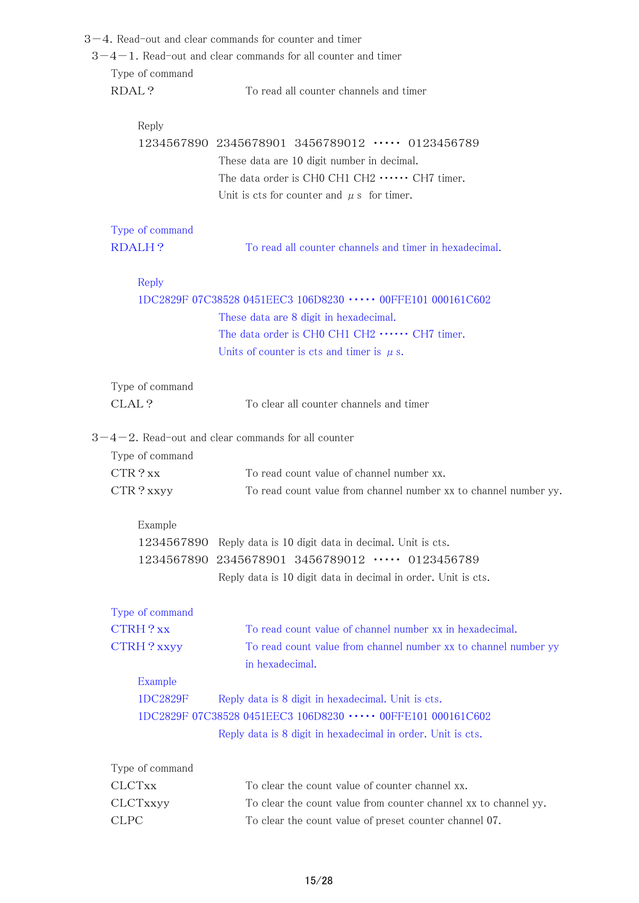|                                                     | $3-4$ . Read-out and clear commands for counter and timer<br>$3-4-1$ . Read-out and clear commands for all counter and timer                                                              |
|-----------------------------------------------------|-------------------------------------------------------------------------------------------------------------------------------------------------------------------------------------------|
| Type of command<br>RDAL?                            | To read all counter channels and timer                                                                                                                                                    |
| Reply                                               | 1234567890 2345678901 3456789012  0123456789<br>These data are 10 digit number in decimal.<br>The data order is CH0 CH1 CH2  CH7 timer.<br>Unit is cts for counter and $\mu$ s for timer. |
| Type of command                                     |                                                                                                                                                                                           |
| <b>RDALH?</b>                                       | To read all counter channels and timer in hexadecimal.                                                                                                                                    |
| Reply                                               |                                                                                                                                                                                           |
|                                                     | 1DC2829F 07C38528 0451EEC3 106D8230 ••••• 00FFE101 000161C602                                                                                                                             |
|                                                     | These data are 8 digit in hexadecimal.                                                                                                                                                    |
|                                                     | The data order is CH0 CH1 CH2  CH7 timer.                                                                                                                                                 |
|                                                     | Units of counter is cts and timer is $\mu$ s.                                                                                                                                             |
| Type of command                                     |                                                                                                                                                                                           |
| CLAL?                                               | To clear all counter channels and timer                                                                                                                                                   |
| Type of command<br>CTR?xx<br>CTR? xxyy              | $3-4-2$ . Read-out and clear commands for all counter<br>To read count value of channel number xx.<br>To read count value from channel number xx to channel number yy.                    |
| Example                                             | 1234567890 Reply data is 10 digit data in decimal. Unit is cts.<br>1234567890 2345678901 3456789012  0123456789<br>Reply data is 10 digit data in decimal in order. Unit is cts.          |
| Type of command<br>CTRH?xx<br>CTRH? xxyy<br>Example | To read count value of channel number xx in hexadecimal.<br>To read count value from channel number xx to channel number yy<br>in hexadecimal.                                            |
| 1DC2829F                                            | Reply data is 8 digit in hexadecimal. Unit is cts.                                                                                                                                        |
|                                                     | 1DC2829F 07C38528 0451EEC3 106D8230 ••••• 00FFE101 000161C602<br>Reply data is 8 digit in hexadecimal in order. Unit is cts.                                                              |
| Type of command                                     |                                                                                                                                                                                           |
| <b>CLCTxx</b>                                       | To clear the count value of counter channel xx.                                                                                                                                           |
| CLCTxxyy                                            | To clear the count value from counter channel xx to channel yy.                                                                                                                           |
| <b>CLPC</b>                                         | To clear the count value of preset counter channel 07.                                                                                                                                    |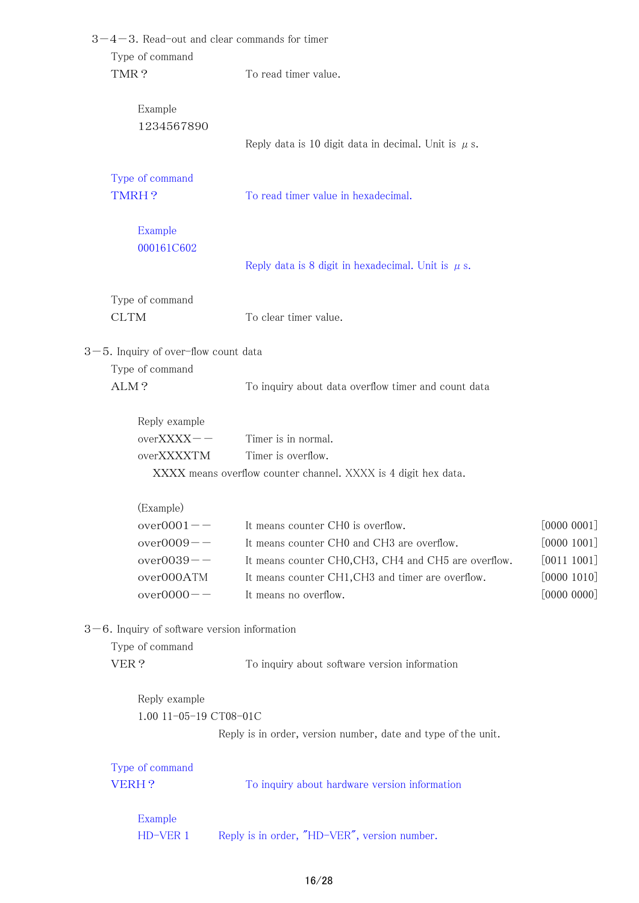|                                                 | $3-4-3$ . Read-out and clear commands for timer                |             |
|-------------------------------------------------|----------------------------------------------------------------|-------------|
| Type of command                                 |                                                                |             |
| TMR?                                            | To read timer value.                                           |             |
| Example                                         |                                                                |             |
| 1234567890                                      |                                                                |             |
|                                                 | Reply data is 10 digit data in decimal. Unit is $\mu$ s.       |             |
| Type of command                                 |                                                                |             |
| TMRH?                                           | To read timer value in hexadecimal.                            |             |
| Example                                         |                                                                |             |
| 000161C602                                      |                                                                |             |
|                                                 | Reply data is 8 digit in hexadecimal. Unit is $\mu$ s.         |             |
| Type of command                                 |                                                                |             |
| <b>CLTM</b>                                     | To clear timer value.                                          |             |
| $3-5$ . Inquiry of over-flow count data         |                                                                |             |
| Type of command                                 |                                                                |             |
| ALM?                                            | To inquiry about data overflow timer and count data            |             |
| Reply example                                   |                                                                |             |
| $overXXXX$ – –                                  | Timer is in normal.                                            |             |
| overXXXXTM                                      | Timer is overflow.                                             |             |
|                                                 | XXXX means overflow counter channel. XXXX is 4 digit hex data. |             |
| (Example)                                       |                                                                |             |
| $over0001 - -$                                  | It means counter CH0 is overflow.                              | [0000 0001] |
| $over0009 -$                                    | It means counter CH0 and CH3 are overflow.                     | [0000 1001] |
| $over0039 - -$                                  | It means counter CH0, CH3, CH4 and CH5 are overflow.           | [0011 1001] |
| over000ATM                                      | It means counter CH1, CH3 and timer are overflow.              | [0000 1010] |
| $over00000 -$                                   | It means no overflow.                                          | [0000 0000] |
| $3-6$ . Inquiry of software version information |                                                                |             |
| Type of command                                 |                                                                |             |
| VER?                                            | To inquiry about software version information                  |             |
| Reply example                                   |                                                                |             |
| 1.00 11-05-19 CT08-01C                          |                                                                |             |
|                                                 | Reply is in order, version number, date and type of the unit.  |             |
| Type of command                                 |                                                                |             |
| VERH?                                           | To inquiry about hardware version information                  |             |
| Example                                         |                                                                |             |
| HD-VER 1                                        | Reply is in order, "HD-VER", version number.                   |             |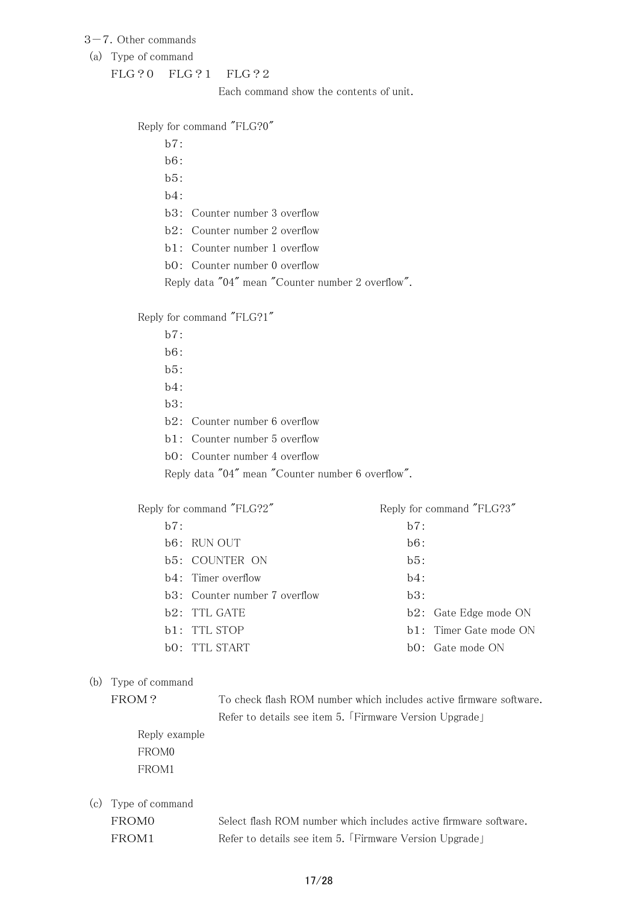#### $3-7.$  Other commands

(a) Type of command

FLG?0 FLG?1 FLG?2

Each command show the contents of unit.

Reply for command "FLG?0"

b7:

b6:

b5:

 $b4$ :

b3: Counter number 3 overflow

b2: Counter number 2 overflow

b1: Counter number 1 overflow

b0: Counter number 0 overflow

Reply data "04" mean "Counter number 2 overflow".

Reply for command "FLG?1"

- b7:
- b6:
- b5:
- b4:

b3:

b2: Counter number 6 overflow

b1: Counter number 5 overflow

b0: Counter number 4 overflow

Reply data "04" mean "Counter number 6 overflow".

| Reply for command "FLG?2"     | Reply for command "FLG?3" |
|-------------------------------|---------------------------|
| h7:                           | b7:                       |
| b6: RUN OUT                   | b6:                       |
| <b>b5: COUNTER ON</b>         | b5:                       |
| b4: Timer overflow            | b4:                       |
| b3: Counter number 7 overflow | h3:                       |
| b2:TTLGATE                    | b2: Gate Edge mode ON     |
| b1: TTL STOP                  | b1: Timer Gate mode ON    |
| b0: TTL START                 | b0: Gate mode ON          |
|                               |                           |

#### (b) Type of command

FROM? To check flash ROM number which includes active firmware software. Refer to details see item 5. 「Firmware Version Upgrade」

Reply example FROM0 FROM1

(c) Type of command

| FROM0             | Select flash ROM number which includes active firmware software. |
|-------------------|------------------------------------------------------------------|
| FROM <sub>1</sub> | Refer to details see item 5. Firmware Version Upgrade            |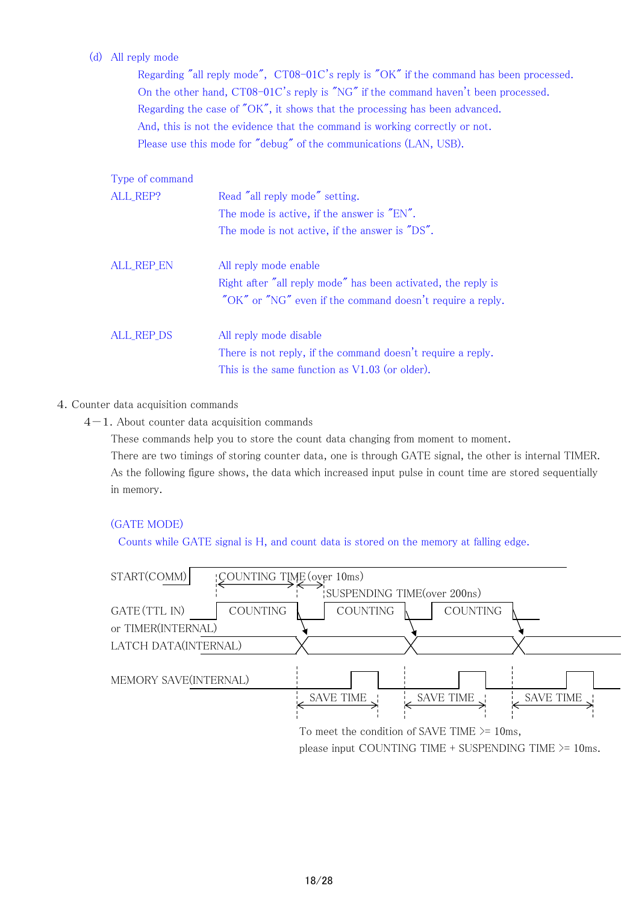#### (d) All reply mode

Regarding "all reply mode", CT08-01C's reply is "OK" if the command has been processed. On the other hand, CT08-01C's reply is "NG" if the command haven't been processed. Regarding the case of "OK", it shows that the processing has been advanced. And, this is not the evidence that the command is working correctly or not. Please use this mode for "debug" of the communications (LAN, USB).

| Type of command |                                                               |
|-----------------|---------------------------------------------------------------|
| ALL_REP?        | Read "all reply mode" setting.                                |
|                 | The mode is active, if the answer is "EN".                    |
|                 | The mode is not active, if the answer is "DS".                |
| ALL_REP_EN      | All reply mode enable                                         |
|                 | Right after "all reply mode" has been activated, the reply is |
|                 | "OK" or "NG" even if the command doesn't require a reply.     |
| ALL_REP_DS      | All reply mode disable                                        |
|                 | There is not reply, if the command doesn't require a reply.   |
|                 | This is the same function as V1.03 (or older).                |

#### 4.Counter data acquisition commands

 $4-1$ . About counter data acquisition commands

These commands help you to store the count data changing from moment to moment.

There are two timings of storing counter data, one is through GATE signal, the other is internal TIMER. As the following figure shows, the data which increased input pulse in count time are stored sequentially in memory.

#### (GATE MODE)

Counts while GATE signal is H, and count data is stored on the memory at falling edge.



please input COUNTING TIME + SUSPENDING TIME  $\succeq$  10ms.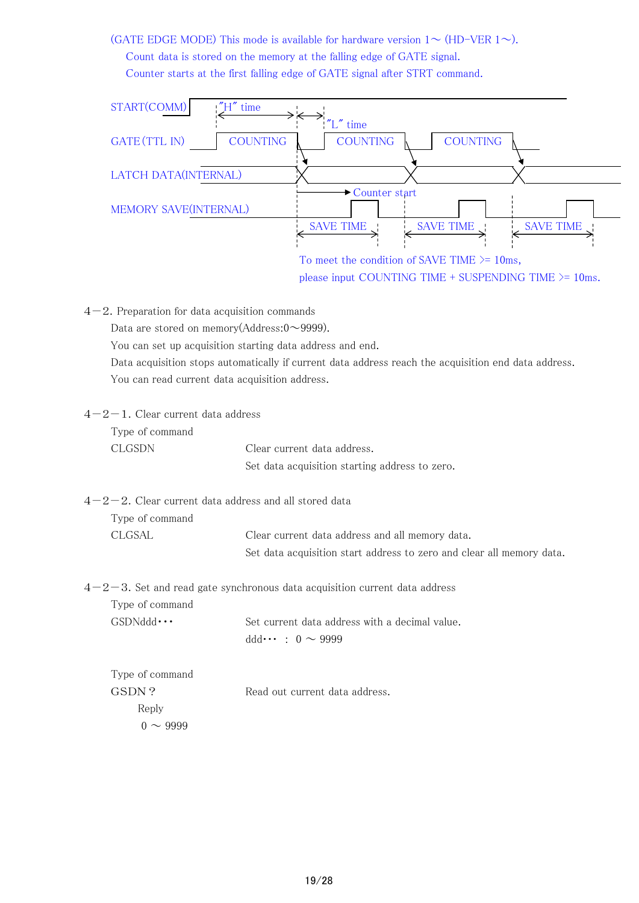(GATE EDGE MODE) This mode is available for hardware version  $1 \sim (HD-VER 1 \sim)$ . Count data is stored on the memory at the falling edge of GATE signal. Counter starts at the first falling edge of GATE signal after STRT command.



please input COUNTING TIME + SUSPENDING TIME  $\succeq$  10ms.

 $4-2$ . Preparation for data acquisition commands

Data are stored on memory(Address: $0 \sim 9999$ ).

You can set up acquisition starting data address and end.

Data acquisition stops automatically if current data address reach the acquisition end data address. You can read current data acquisition address.

 $4-2-1$ . Clear current data address Type of command

CLGSDN Clear current data address. Set data acquisition starting address to zero.

 $4-2-2$ . Clear current data address and all stored data

| Type of command |                                                                       |
|-----------------|-----------------------------------------------------------------------|
| CLGSAL          | Clear current data address and all memory data.                       |
|                 | Set data acquisition start address to zero and clear all memory data. |

 $4-2-3$ . Set and read gate synchronous data acquisition current data address

Type of command

GSDNddd · · · Set current data address with a decimal value. ddd $\cdots$  : 0  $\sim$  9999

```
Type of command
GSDN? Read out current data address.
    Reply
    0 \sim 9999
```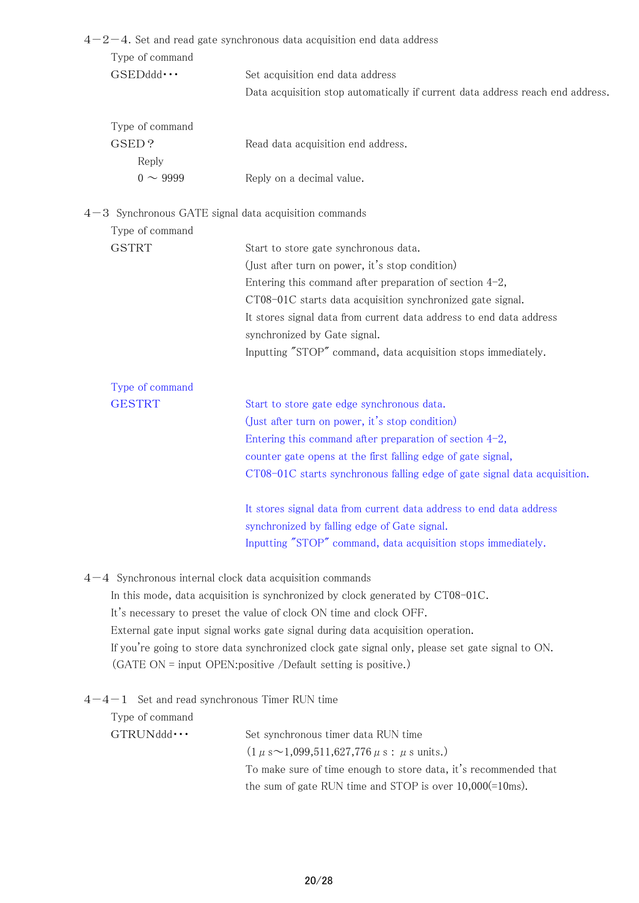| Type of command                                 | $4-2-4$ . Set and read gate synchronous data acquisition end data address                        |
|-------------------------------------------------|--------------------------------------------------------------------------------------------------|
| $GSEDddd \cdots$                                | Set acquisition end data address                                                                 |
|                                                 | Data acquisition stop automatically if current data address reach end address.                   |
| Type of command                                 |                                                                                                  |
| GSED?                                           | Read data acquisition end address.                                                               |
| Reply                                           |                                                                                                  |
| $0 \sim 9999$                                   | Reply on a decimal value.                                                                        |
|                                                 | $4-3$ Synchronous GATE signal data acquisition commands                                          |
| Type of command                                 |                                                                                                  |
| <b>GSTRT</b>                                    | Start to store gate synchronous data.                                                            |
|                                                 | (Just after turn on power, it's stop condition)                                                  |
|                                                 | Entering this command after preparation of section $4-2$ ,                                       |
|                                                 | CT08-01C starts data acquisition synchronized gate signal.                                       |
|                                                 | It stores signal data from current data address to end data address                              |
|                                                 | synchronized by Gate signal.                                                                     |
|                                                 | Inputting "STOP" command, data acquisition stops immediately.                                    |
| Type of command                                 |                                                                                                  |
| <b>GESTRT</b>                                   | Start to store gate edge synchronous data.                                                       |
|                                                 | (Just after turn on power, it's stop condition)                                                  |
|                                                 | Entering this command after preparation of section $4-2$ ,                                       |
|                                                 | counter gate opens at the first falling edge of gate signal,                                     |
|                                                 | CT08-01C starts synchronous falling edge of gate signal data acquisition.                        |
|                                                 | It stores signal data from current data address to end data address                              |
|                                                 | synchronized by falling edge of Gate signal.                                                     |
|                                                 | Inputting "STOP" command, data acquisition stops immediately.                                    |
|                                                 | $4-4$ Synchronous internal clock data acquisition commands                                       |
|                                                 | In this mode, data acquisition is synchronized by clock generated by CT08-01C.                   |
|                                                 | It's necessary to preset the value of clock ON time and clock OFF.                               |
|                                                 | External gate input signal works gate signal during data acquisition operation.                  |
|                                                 | If you're going to store data synchronized clock gate signal only, please set gate signal to ON. |
|                                                 | (GATE ON = input OPEN: positive / Default setting is positive.)                                  |
| $4-4-1$ Set and read synchronous Timer RUN time |                                                                                                  |
| Type of command                                 |                                                                                                  |
| $GTRUNddd \cdots$                               | Set synchronous timer data RUN time                                                              |
|                                                 | $(1 \mu s \sim 1,099,511,627,776 \mu s : \mu s \text{ units.})$                                  |
|                                                 | To make sure of time enough to store data, it's recommended that                                 |
|                                                 | the sum of gate RUN time and STOP is over $10,000(=10)$ ms).                                     |
|                                                 |                                                                                                  |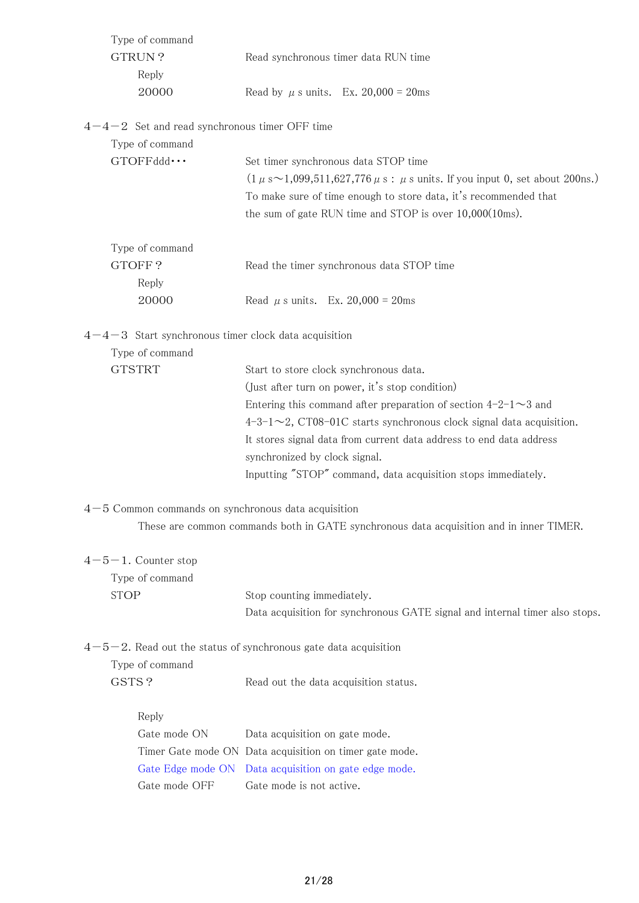| Type of command                                            |                                                                                          |
|------------------------------------------------------------|------------------------------------------------------------------------------------------|
| GTRUN?                                                     | Read synchronous timer data RUN time                                                     |
| Reply                                                      |                                                                                          |
| 20000                                                      | Read by $\mu$ s units. Ex. 20,000 = 20ms                                                 |
| $4-4-2$ Set and read synchronous timer OFF time            |                                                                                          |
| Type of command                                            |                                                                                          |
| $GTOFFddd\cdots$                                           | Set timer synchronous data STOP time                                                     |
|                                                            | $(1 \mu s \sim 1,099,511,627,776 \mu s : \mu s$ units. If you input 0, set about 200ns.) |
|                                                            | To make sure of time enough to store data, it's recommended that                         |
|                                                            | the sum of gate RUN time and STOP is over 10,000(10ms).                                  |
| Type of command                                            |                                                                                          |
| GTOFF?                                                     | Read the timer synchronous data STOP time                                                |
| Reply                                                      |                                                                                          |
| 20000                                                      | Read $\mu$ s units. Ex. 20,000 = 20ms                                                    |
| $4 - 4 - 3$ Start synchronous timer clock data acquisition |                                                                                          |
| Type of command                                            |                                                                                          |
| <b>GTSTRT</b>                                              | Start to store clock synchronous data.                                                   |
|                                                            | (Just after turn on power, it's stop condition)                                          |
|                                                            | Entering this command after preparation of section $4-2-1 \sim 3$ and                    |
|                                                            | $4-3-1\sim$ 2, CT08-01C starts synchronous clock signal data acquisition.                |
|                                                            | It stores signal data from current data address to end data address                      |
|                                                            | synchronized by clock signal.                                                            |
|                                                            | Inputting "STOP" command, data acquisition stops immediately.                            |
| $4-5$ Common commands on synchronous data acquisition      |                                                                                          |
|                                                            | These are common commands both in GATE synchronous data acquisition and in inner TIMER.  |
| $4-5-1$ . Counter stop                                     |                                                                                          |
| Type of command                                            |                                                                                          |
| <b>STOP</b>                                                | Stop counting immediately.                                                               |
|                                                            | Data acquisition for synchronous GATE signal and internal timer also stops.              |
|                                                            | $4-5-2$ . Read out the status of synchronous gate data acquisition                       |
| Type of command                                            |                                                                                          |
| GSTS?                                                      | Read out the data acquisition status.                                                    |
| Reply                                                      |                                                                                          |
| Gate mode ON                                               | Data acquisition on gate mode.                                                           |
|                                                            | Timer Gate mode ON Data acquisition on timer gate mode.                                  |
|                                                            | Gate Edge mode ON Data acquisition on gate edge mode.                                    |
| Gate mode OFF                                              | Gate mode is not active.                                                                 |
|                                                            |                                                                                          |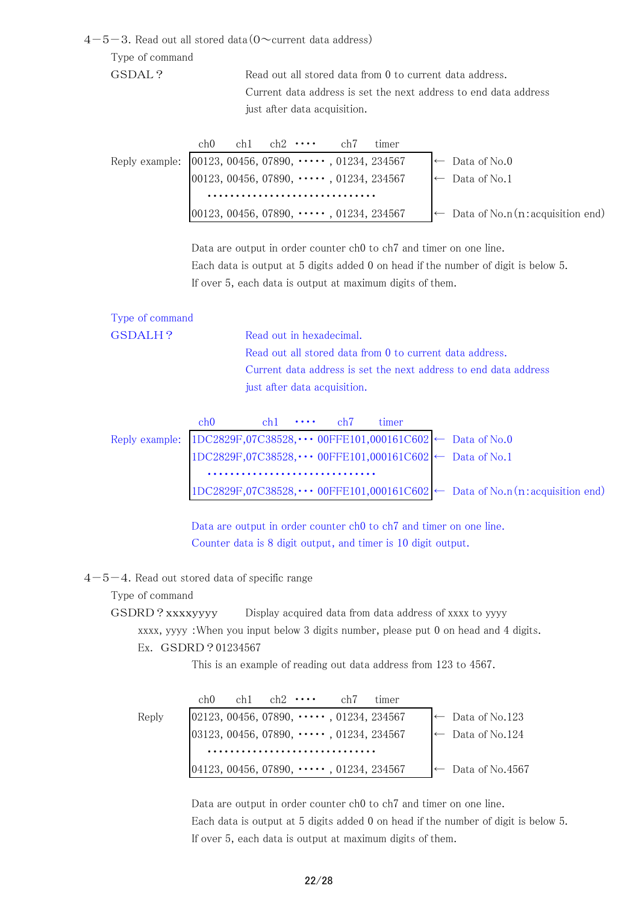$4-5-3$ . Read out all stored data (0~current data address)

Type of command

GSDAL? Read out all stored data from 0 to current data address. Current data address is set the next address to end data address just after data acquisition.

|                                                     | ch <sub>0</sub> |  | ch1 ch2 $\cdots$ ch7                           | timer |                                                |
|-----------------------------------------------------|-----------------|--|------------------------------------------------|-------|------------------------------------------------|
| Reply example: 00123, 00456, 07890, , 01234, 234567 |                 |  |                                                |       | $\leftarrow$ Data of No.0                      |
|                                                     |                 |  | $ 00123, 00456, 07890, \cdots, 01234, 234567$  |       | $\leftarrow$ Data of No.1                      |
|                                                     |                 |  |                                                |       |                                                |
|                                                     |                 |  | $[00123, 00456, 07890, \cdots, 01234, 234567]$ |       | $\leftarrow$ Data of No.n (n: acquisition end) |

Data are output in order counter ch0 to ch7 and timer on one line. Each data is output at 5 digits added 0 on head if the number of digit is below 5. If over 5, each data is output at maximum digits of them.

### Type of command

GSDALH? Read out in hexadecimal.

Read out all stored data from 0 to current data address. Current data address is set the next address to end data address just after data acquisition.

|                                                                                         | ch0 |  | $ch1 \cdots ch7$ | timer |                                                                                            |
|-----------------------------------------------------------------------------------------|-----|--|------------------|-------|--------------------------------------------------------------------------------------------|
| Reply example: $ 1DC2829F,07C38528,\cdots 00FFE101,000161C602  \leftarrow$ Data of No.0 |     |  |                  |       |                                                                                            |
|                                                                                         |     |  |                  |       | 1DC2829F,07C38528, $\cdots$ 00FFE101,000161C602 ← Data of No.1                             |
|                                                                                         |     |  |                  |       |                                                                                            |
|                                                                                         |     |  |                  |       | $ 1DC2829F,07C38528,\cdots 00FFE101,000161C602 \leftarrow$ Data of No.n(n:acquisition end) |

Data are output in order counter ch0 to ch7 and timer on one line. Counter data is 8 digit output, and timer is 10 digit output.

#### $4-5-4$ . Read out stored data of specific range

#### Type of command

GSDRD?xxxxyyyy Display acquired data from data address of xxxx to yyyy xxxx, yyyy :When you input below 3 digits number, please put 0 on head and 4 digits.

#### Ex. GSDRD?01234567

This is an example of reading out data address from 123 to 4567.

|       | ch0 | $ch1$ $ch2$ $\cdots$ | -ch7                                          | timer |                              |  |
|-------|-----|----------------------|-----------------------------------------------|-------|------------------------------|--|
| Reply |     |                      | 02123, 00456, 07890, $\cdots$ , 01234, 234567 |       | $\leftarrow$ Data of No.123  |  |
|       |     |                      | $ 03123, 00456, 07890, \cdots, 01234, 234567$ |       | $\leftarrow$ Data of No.124  |  |
|       |     |                      |                                               |       |                              |  |
|       |     |                      | $04123, 00456, 07890, \cdots$ , 01234, 234567 |       | $\leftarrow$ Data of No.4567 |  |
|       |     |                      |                                               |       |                              |  |

Data are output in order counter ch0 to ch7 and timer on one line. Each data is output at 5 digits added 0 on head if the number of digit is below 5. If over 5, each data is output at maximum digits of them.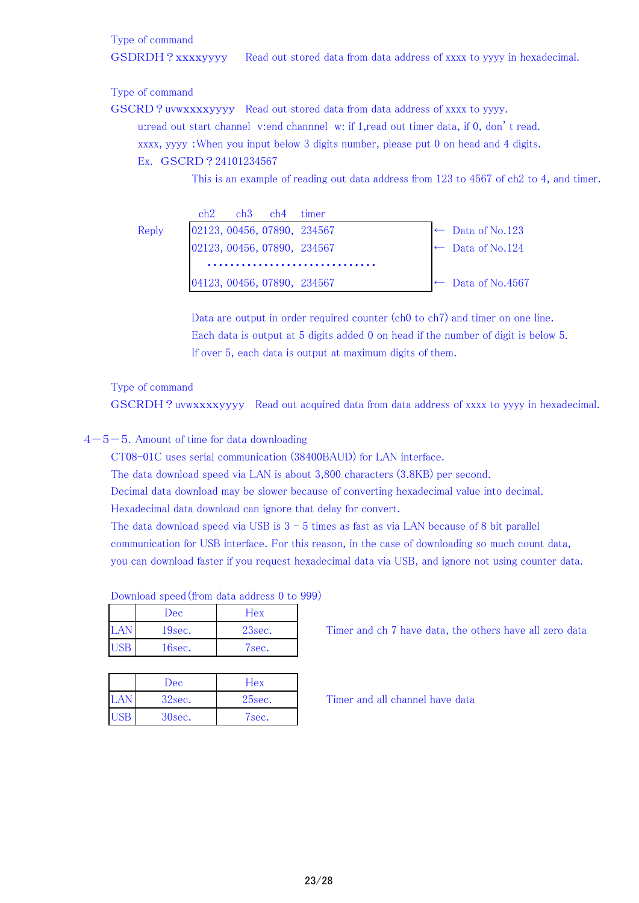#### Type of command

GSDRDH?xxxyyyy Read out stored data from data address of xxxx to yyyy in hexadecimal.

#### Type of command

GSCRD?uvwxxxxyyyy Read out stored data from data address of xxxx to yyyy.

u:read out start channel v:end channnel w: if 1,read out timer data, if 0, don' t read.

xxxx, yyyy :When you input below 3 digits number, please put 0 on head and 4 digits.

#### Ex. GSCRD?24101234567

This is an example of reading out data address from 123 to 4567 of ch2 to 4, and timer.



Data are output in order required counter (ch0 to ch7) and timer on one line. Each data is output at 5 digits added 0 on head if the number of digit is below 5. If over 5, each data is output at maximum digits of them.

#### Type of command

GSCRDH?uvwxxxxyyyy Read out acquired data from data address of xxxx to yyyy in hexadecimal.

#### $4-5-5$ . Amount of time for data downloading

CT08-01C uses serial communication (38400BAUD) for LAN interface.

The data download speed via LAN is about 3,800 characters (3.8KB) per second.

Decimal data download may be slower because of converting hexadecimal value into decimal.

Hexadecimal data download can ignore that delay for convert.

The data download speed via USB is  $3 - 5$  times as fast as via LAN because of 8 bit parallel

communication for USB interface. For this reason, in the case of downloading so much count data,

you can download faster if you request hexadecimal data via USB, and ignore not using counter data.

#### Download speed(from data address 0 to 999)

| Dec    | Hex    |  |  |  |
|--------|--------|--|--|--|
| 19sec. | 23sec. |  |  |  |
| 16sec. | 7sec.  |  |  |  |

| Dec    | Hex    |
|--------|--------|
| 32sec. | 25sec. |
| 30sec. | 7sec.  |

Timer and ch 7 have data, the others have all zero data

Timer and all channel have data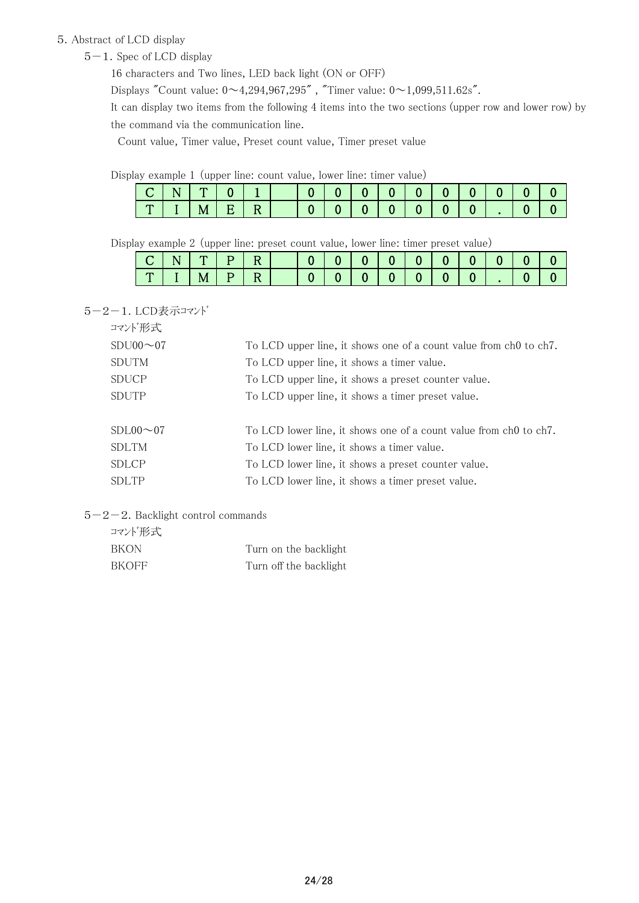#### 5.Abstract of LCD display

#### 5-1.Spec of LCD display

16 characters and Two lines, LED back light (ON or OFF)

Displays "Count value:  $0 \sim 4,294,967,295$ ", "Timer value:  $0 \sim 1,099,511.62s$ ".

It can display two items from the following 4 items into the two sections (upper row and lower row) by the command via the communication line.

Count value, Timer value, Preset count value, Timer preset value

Display example 1 (upper line: count value, lower line: timer value)

|              | $C$ N $T$ 0 |           |  |  | $0$ 0 $\overline{0}$ |            | $0$   0 |  | 0001 |  |
|--------------|-------------|-----------|--|--|----------------------|------------|---------|--|------|--|
| $\mathbf{r}$ |             | M   E   R |  |  | $0$ 0 $\vert$        | $0 \mid 0$ |         |  |      |  |

Display example 2 (upper line: preset count value, lower line: timer preset value)

| $\sim$       |   |  |  |  |  | 0 <sup>1</sup> |  |  |
|--------------|---|--|--|--|--|----------------|--|--|
| $\mathbf{r}$ | M |  |  |  |  |                |  |  |

5-2-1.LCD表示コマンド

| コマンド形式          |                                                                   |
|-----------------|-------------------------------------------------------------------|
| $SDU00 \sim 07$ | To LCD upper line, it shows one of a count value from ch0 to ch7. |
| <b>SDUTM</b>    | To LCD upper line, it shows a timer value.                        |
| <b>SDUCP</b>    | To LCD upper line, it shows a preset counter value.               |
| SDUTP           | To LCD upper line, it shows a timer preset value.                 |
|                 |                                                                   |
| $SDL00 \sim 07$ | To LCD lower line, it shows one of a count value from ch0 to ch7. |
| <b>SDLTM</b>    | To LCD lower line, it shows a timer value.                        |
| <b>SDLCP</b>    | To LCD lower line, it shows a preset counter value.               |
| <b>SDLTP</b>    | To LCD lower line, it shows a timer preset value.                 |

 $5-2-2$ . Backlight control commands

| コマンド形式       |                        |
|--------------|------------------------|
| BKON.        | Turn on the backlight  |
| <b>BKOFF</b> | Turn off the backlight |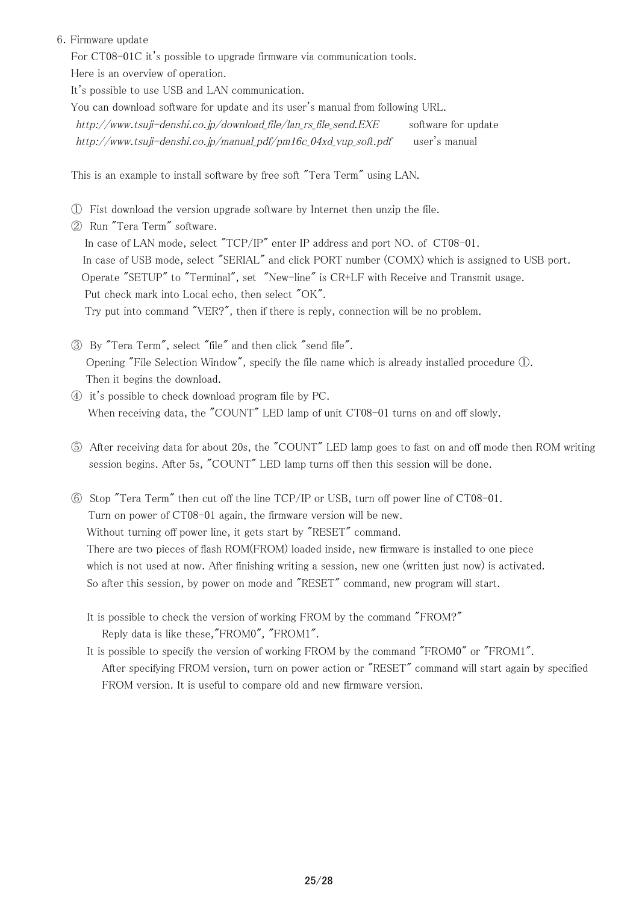#### 6.Firmware update

For CT08-01C it's possible to upgrade firmware via communication tools.

Here is an overview of operation.

It's possible to use USB and LAN communication.

You can download software for update and its user's manual from following URL.

http://www.tsuji-denshi.co.jp/download\_file/lan\_rs\_file\_send.EXE software for update

http://www.tsuji-denshi.co.jp/manual\_pdf/pm16c\_04xd\_vup\_soft.pdf user's manual

This is an example to install software by free soft "Tera Term" using LAN.

- ① Fist download the version upgrade software by Internet then unzip the file.
- ② Run "Tera Term" software.

In case of LAN mode, select "TCP/IP" enter IP address and port NO. of CT08-01. In case of USB mode, select "SERIAL" and click PORT number (COMX) which is assigned to USB port. Operate "SETUP" to "Terminal", set "New-line" is CR+LF with Receive and Transmit usage. Put check mark into Local echo, then select "OK". Try put into command "VER?", then if there is reply, connection will be no problem.

- ③ By "Tera Term", select "file" and then click "send file". Opening "File Selection Window", specify the file name which is already installed procedure ①. Then it begins the download.
- ④ it's possible to check download program file by PC. When receiving data, the "COUNT" LED lamp of unit CT08-01 turns on and off slowly.
- ⑤ After receiving data for about 20s, the "COUNT" LED lamp goes to fast on and off mode then ROM writing session begins. After 5s, "COUNT" LED lamp turns off then this session will be done.
- ⑥ Stop "Tera Term" then cut off the line TCP/IP or USB, turn off power line of CT08-01. Turn on power of CT08-01 again, the firmware version will be new. Without turning off power line, it gets start by "RESET" command. There are two pieces of flash ROM(FROM) loaded inside, new firmware is installed to one piece which is not used at now. After finishing writing a session, new one (written just now) is activated. So after this session, by power on mode and "RESET" command, new program will start.
	- It is possible to check the version of working FROM by the command "FROM?" Reply data is like these,"FROM0", "FROM1".

It is possible to specify the version of working FROM by the command "FROM0" or "FROM1". After specifying FROM version, turn on power action or "RESET" command will start again by specified FROM version. It is useful to compare old and new firmware version.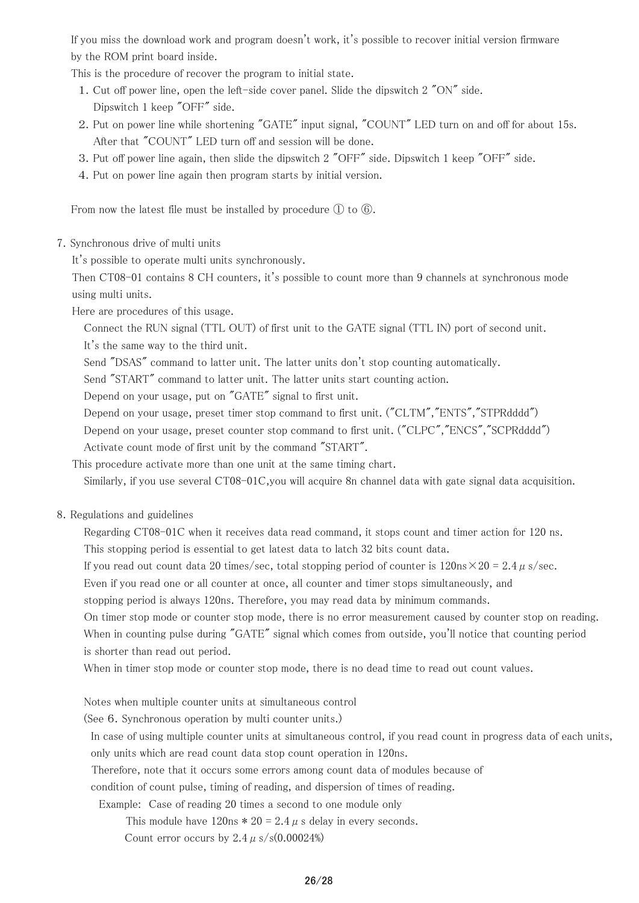If you miss the download work and program doesn't work, it's possible to recover initial version firmware by the ROM print board inside.

This is the procedure of recover the program to initial state.

- 1.Cut off power line, open the left-side cover panel. Slide the dipswitch 2 "ON" side. Dipswitch 1 keep "OFF" side.
- 2. Put on power line while shortening "GATE" input signal, "COUNT" LED turn on and off for about 15s. After that "COUNT" LED turn off and session will be done.
- 3.Put off power line again, then slide the dipswitch 2 "OFF" side. Dipswitch 1 keep "OFF" side.
- 4.Put on power line again then program starts by initial version.

From now the latest file must be installed by procedure ① to ⑥.

7.Synchronous drive of multi units

It's possible to operate multi units synchronously.

Then CT08-01 contains 8 CH counters, it's possible to count more than 9 channels at synchronous mode using multi units.

Here are procedures of this usage.

Connect the RUN signal (TTL OUT) of first unit to the GATE signal (TTL IN) port of second unit.

It's the same way to the third unit.

Send "DSAS" command to latter unit. The latter units don't stop counting automatically.

Send "START" command to latter unit. The latter units start counting action.

Depend on your usage, put on "GATE" signal to first unit.

Depend on your usage, preset timer stop command to first unit. ("CLTM","ENTS","STPRdddd")

Depend on your usage, preset counter stop command to first unit. ("CLPC","ENCS","SCPRdddd")

Activate count mode of first unit by the command "START".

This procedure activate more than one unit at the same timing chart.

Similarly, if you use several CT08-01C,you will acquire 8n channel data with gate signal data acquisition.

8.Regulations and guidelines

Regarding CT08-01C when it receives data read command, it stops count and timer action for 120 ns. This stopping period is essential to get latest data to latch 32 bits count data.

If you read out count data 20 times/sec, total stopping period of counter is  $120 \text{ns} \times 20 = 2.4 \mu \text{ s/sec}$ .

Even if you read one or all counter at once, all counter and timer stops simultaneously, and

stopping period is always 120ns. Therefore, you may read data by minimum commands.

On timer stop mode or counter stop mode, there is no error measurement caused by counter stop on reading. When in counting pulse during "GATE" signal which comes from outside, you'll notice that counting period is shorter than read out period.

When in timer stop mode or counter stop mode, there is no dead time to read out count values.

Notes when multiple counter units at simultaneous control

(See 6. Synchronous operation by multi counter units.)

In case of using multiple counter units at simultaneous control, if you read count in progress data of each units, only units which are read count data stop count operation in 120ns.

Therefore, note that it occurs some errors among count data of modules because of

condition of count pulse, timing of reading, and dispersion of times of reading.

Example: Case of reading 20 times a second to one module only

This module have  $120ns * 20 = 2.4 \mu s$  delay in every seconds.

Count error occurs by  $2.4 \mu s/s(0.00024%)$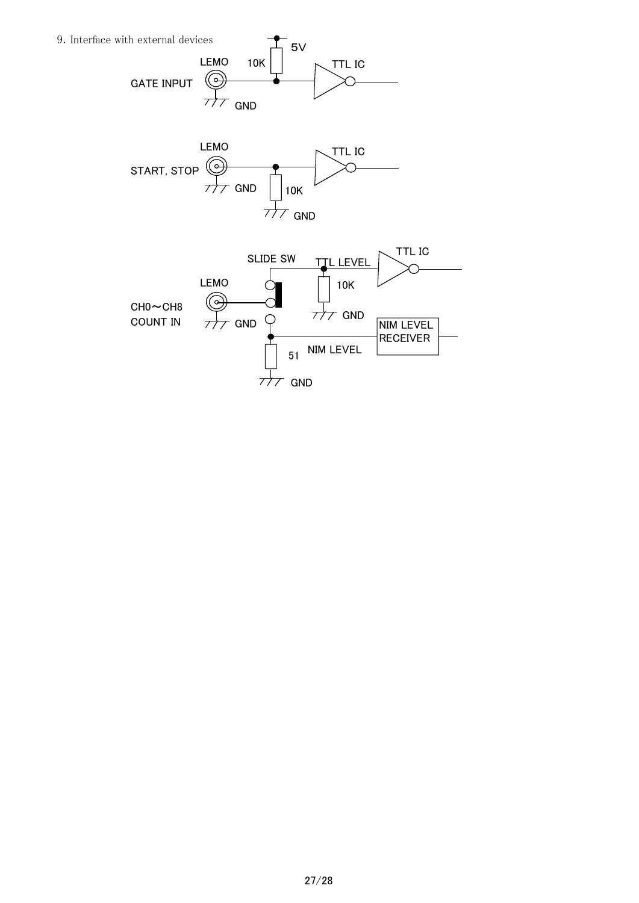9.Interface with external devices